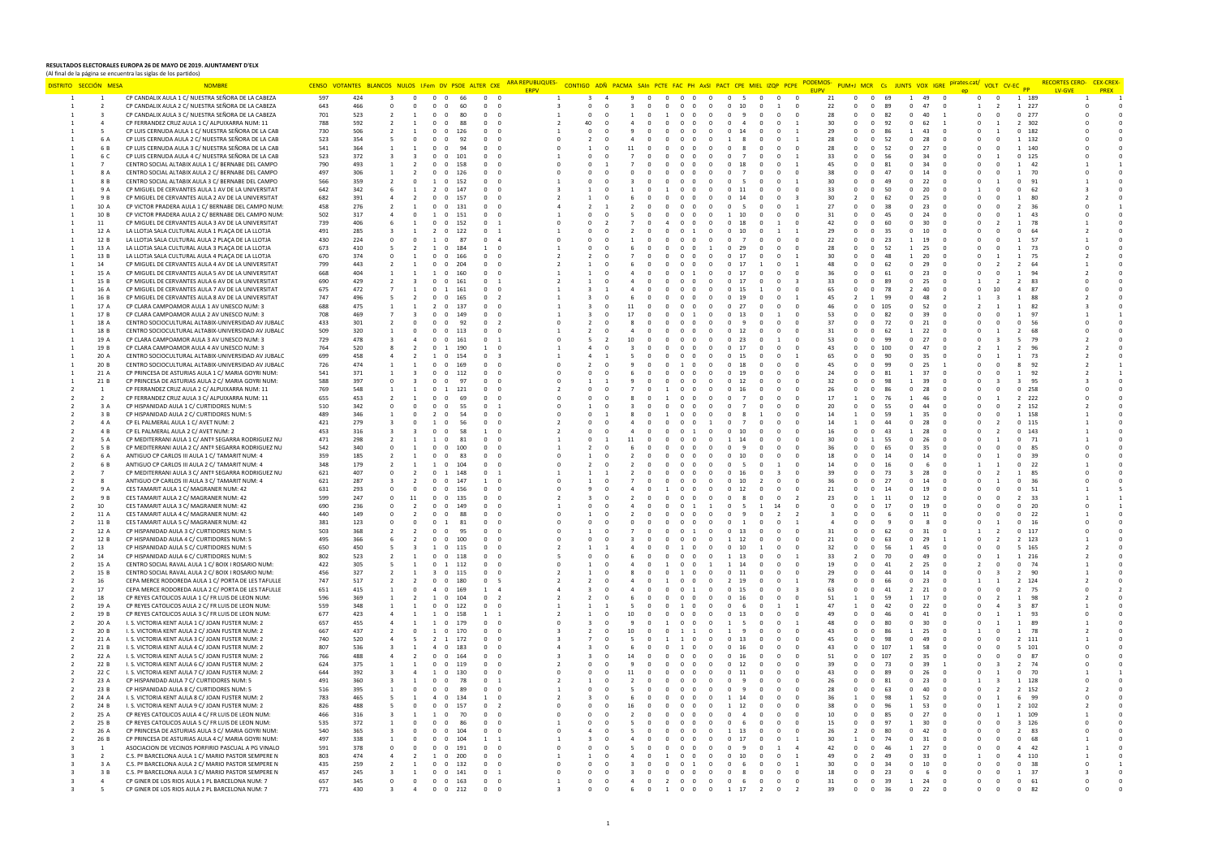## **RESULTADOS ELECTORALES EUROPA 26 DE MAYO DE 2019. AJUNTAMENT D'ELX**  (Al final de la página se encuentra las siglas de los partidos)

| DISTRITO SECCIÓN MESA          |                | <b>NOMBR</b>                                                                                             |            | CENSO VOTANTES BLANCOS NULOS I.Fem DV PSOE ALTER CXE |                      |                      |                       |                                | <b>ARA REPUBLIQUES-</b><br><b>ERPV</b> |              |                            |          |                                        |             | CONTIGO ADÑ PACMA SAIN PCTE FAC PH AxSI PACT CPE MIEL IZOP PCPE |              |                      |              | PUM+J MCR Cs JUNTS VOX IGRE               |                       | pirates.cat/ | VOLT CV-EC |                       | LV-GVE | <b>CEX-CREX</b><br><b>PREX</b> |
|--------------------------------|----------------|----------------------------------------------------------------------------------------------------------|------------|------------------------------------------------------|----------------------|----------------------|-----------------------|--------------------------------|----------------------------------------|--------------|----------------------------|----------|----------------------------------------|-------------|-----------------------------------------------------------------|--------------|----------------------|--------------|-------------------------------------------|-----------------------|--------------|------------|-----------------------|--------|--------------------------------|
| $\mathbf{1}$<br>$\overline{1}$ |                | CP CANDALIX AULA 1 C/ NUESTRA SEÑORA DE LA CABEZA                                                        | 597        | 424                                                  | $\Omega$             | $\Omega$<br>$\Omega$ | 66                    | $\circ$<br>$\Omega$            |                                        | $\mathbf{R}$ | $\overline{a}$<br>-9       | $\Omega$ | $\Omega$<br>$\Omega$                   | $\Omega$    | $\mathbf{0}$<br>$\Omega$<br>-5.                                 | $\mathbf{0}$ | $\overline{0}$<br>21 | $\mathbf{0}$ | $\overline{\ }$ 0<br>69<br>$\overline{1}$ | 49<br>$\Omega$        | $\Omega$     | $\Omega$   | 1 189                 |        |                                |
| $\overline{2}$                 |                | CP CANDALIX AULA 2 C/ NUESTRA SEÑORA DE LA CABEZA                                                        | 643        | 466                                                  |                      |                      | 60<br>$^{\circ}$      | $\mathbf{0}$<br>$\overline{0}$ |                                        | $\Omega$     | $^{\circ}$                 |          |                                        |             | 10<br>$^{\circ}$                                                | <sup>1</sup> | 22<br>$^{\circ}$     | $\mathbf{0}$ | $\sqrt{ }$<br>89<br>$\mathbf{0}$          | 47                    |              |            | 1 227                 |        |                                |
| $\mathbf{R}$                   |                | CP CANDALIX AULA 3 C/ NUESTRA SEÑORA DE LA CABEZA                                                        | 701        | 523                                                  |                      |                      | 80<br>$\Omega$        | $\Omega$<br>$\Omega$           |                                        |              |                            |          |                                        |             | $\Omega$                                                        | $\Omega$     | 28<br>$\Omega$       | $^{\circ}$   | $\overline{0}$<br>82<br>$\Omega$          | 40                    |              |            | $0$ 277               |        |                                |
| $\Delta$                       |                | CP FERRANDEZ CRUZ AULA 1 C/ ALPUIXARRA NUM: 11                                                           | 788        | 592                                                  |                      |                      | 88                    | $\Omega$<br>$\Omega$           |                                        |              |                            |          |                                        |             |                                                                 |              | $30^{\circ}$         | $\Omega$     | $\Omega$<br>92                            | 62                    |              |            | 302<br>$\overline{2}$ |        |                                |
| -5                             |                | CP LUIS CERNUDA AULA 1 C/ NUESTRA SEÑORA DE LA CAB                                                       | 730        | 506                                                  |                      |                      | 126                   | $\Omega$<br>$\Omega$           |                                        |              |                            |          |                                        |             |                                                                 |              | 29                   | $\Omega$     | $\Omega$                                  | 43                    |              |            | 182<br>$\Omega$       |        |                                |
|                                | 6 A            | CP LUIS CERNUDA AULA 2 C/ NUESTRA SEÑORA DE LA CAB                                                       | 523        | 354                                                  |                      |                      | 92                    |                                |                                        |              |                            |          |                                        |             |                                                                 |              | 28                   |              | 52                                        | 28                    |              |            | 132                   |        |                                |
|                                | 6 B            | CP LUIS CERNUDA AULA 3 C/ NUESTRA SEÑORA DE LA CAB                                                       | 541        | 364                                                  |                      |                      |                       |                                |                                        |              |                            |          |                                        |             |                                                                 |              | 28                   |              | 52                                        |                       |              |            | 140                   |        |                                |
|                                | 6 C            | CP LUIS CERNUDA AULA 4 C/ NUESTRA SEÑORA DE LA CAB                                                       | 523        | 372                                                  |                      |                      | 101                   |                                |                                        |              |                            |          |                                        |             |                                                                 |              | 33                   |              |                                           |                       |              |            | 125                   |        |                                |
| $\overline{7}$                 |                | CENTRO SOCIAL ALTABIX AULA 1 C/ BERNABE DEL CAMPO                                                        | 790        | 493                                                  |                      |                      | 158                   |                                |                                        |              |                            |          |                                        |             |                                                                 |              | 45                   |              | 81                                        |                       |              |            | 42                    |        |                                |
|                                | 8 A            | CENTRO SOCIAL ALTABIX AULA 2 C/ BERNABE DEL CAMPO                                                        | 497        | 306                                                  |                      |                      | 126                   |                                |                                        |              |                            |          |                                        |             |                                                                 |              | 38                   |              | 47                                        | 14                    |              |            | -70                   |        |                                |
|                                | 8 B<br>9 A     | CENTRO SOCIAL ALTABIX AULA 3 C/ BERNABE DEL CAMPO                                                        | 566<br>642 | 359<br>342                                           |                      |                      | 152<br>147            | $\Omega$                       |                                        |              |                            |          |                                        |             |                                                                 |              | 30<br>33             |              | $\Omega$<br>50                            | 20                    |              |            | -91<br>62             |        |                                |
|                                | 9 B            | CP MIGUEL DE CERVANTES AULA 1 AV DE LA UNIVERSITAT<br>CP MIGUEL DE CERVANTES AULA 2 AV DE LA UNIVERSITAT | 682        | 391                                                  |                      |                      | 157                   |                                |                                        |              |                            |          |                                        |             |                                                                 |              | 30                   |              |                                           | 25                    |              |            |                       |        |                                |
|                                | 10 A           | CP VICTOR PRADERA AULA 1 C/ BERNABE DEL CAMPO NUM:                                                       | 458        | 276                                                  |                      |                      | 131                   |                                |                                        |              |                            |          |                                        |             |                                                                 |              | 27                   |              | 38                                        | 23                    |              |            |                       |        |                                |
|                                | 10 B           | CP VICTOR PRADERA AULA 2 C/ BERNABE DEL CAMPO NUM:                                                       | 502        | 317                                                  |                      |                      | 151                   |                                |                                        |              |                            |          |                                        |             |                                                                 |              | 31                   |              |                                           |                       |              |            |                       |        |                                |
| 11                             |                | CP MIGUEL DE CERVANTES AULA 3 AV DE LA UNIVERSITAT                                                       | 739        | 406                                                  |                      |                      | 152                   |                                |                                        |              |                            |          |                                        |             |                                                                 |              | 42                   |              |                                           | 30                    |              |            |                       |        |                                |
| 12 A                           |                | LA LLOTJA SALA CULTURAL AULA 1 PLAÇA DE LA LLOTJA                                                        | 491        | 285                                                  |                      |                      | 122                   | - 1                            |                                        |              |                            |          |                                        |             |                                                                 |              | 29                   |              | 35                                        | 10                    |              |            |                       |        |                                |
| 12 B                           |                | LA LLOTJA SALA CULTURAL AULA 2 PLAÇA DE LA LLOTJA                                                        | 430        | 224                                                  |                      |                      | 87<br>$\Omega$        | $\Omega$<br>$\overline{A}$     |                                        |              |                            |          |                                        |             |                                                                 |              | 22                   |              | -23                                       | 19                    |              |            | 57                    |        |                                |
| 13 A                           |                | LA LLOTJA SALA CULTURAL AULA 3 PLAÇA DE LA LLOTJA                                                        | 673        | 410                                                  |                      |                      | 184                   |                                |                                        |              |                            |          |                                        |             |                                                                 |              | 28                   |              |                                           | -25                   |              |            | -73                   |        |                                |
| 13 B                           |                | LA LLOTJA SALA CULTURAL AULA 4 PLAÇA DE LA LLOTJA                                                        | 670        | 374                                                  |                      |                      | 166                   | $\Omega$<br>$\Omega$           |                                        |              |                            |          |                                        |             |                                                                 |              | 30                   |              |                                           | 20                    |              |            | 75                    |        |                                |
| 14                             |                | CP MIGUEL DE CERVANTES AULA 4 AV DE LA UNIVERSITAT                                                       | 799        | 443                                                  |                      |                      | 204                   |                                |                                        |              |                            |          |                                        |             |                                                                 |              | 48                   |              |                                           |                       |              |            |                       |        |                                |
| 15 A                           |                | CP MIGUEL DE CERVANTES AULA 5 AV DE LA UNIVERSITAT                                                       | 668        | 404                                                  |                      |                      | $\Omega$<br>160       |                                |                                        |              |                            |          |                                        |             |                                                                 |              | 36                   |              | 61                                        | 23                    |              |            |                       |        |                                |
| 15 B                           |                | CP MIGUEL DE CERVANTES AULA 6 AV DE LA UNIVERSITAT                                                       | 690        | 429                                                  |                      |                      |                       |                                |                                        |              |                            |          |                                        |             |                                                                 |              | 33                   |              |                                           |                       |              |            |                       |        |                                |
|                                | 16 A           | CP MIGUEL DE CERVANTES AULA 7 AV DE LA UNIVERSITAT                                                       | 675        | 472                                                  |                      |                      | 161                   |                                |                                        |              |                            |          |                                        |             |                                                                 |              | 65                   |              | 78                                        | $\Delta$ 0            |              |            |                       |        |                                |
|                                | 16 B           | CP MIGUEL DE CERVANTES AULA 8 AV DE LA UNIVERSITAT                                                       | 747        | 496                                                  |                      |                      | 165                   | $\overline{2}$                 |                                        |              |                            |          |                                        |             |                                                                 |              | 45                   |              |                                           |                       |              |            |                       |        |                                |
| 17 A                           |                | CP CLARA CAMPOAMOR AULA 1 AV UNESCO NUM: 3                                                               | 688        | 475                                                  |                      |                      | 137<br>$\Omega$       | $\Omega$<br>$\Omega$           |                                        |              |                            |          |                                        |             |                                                                 |              | 46                   |              | $\Omega$<br>105                           | 52                    |              |            | 82                    |        |                                |
| 17 B                           |                | CP CLARA CAMPOAMOR AULA 2 AV UNESCO NUM: 3                                                               | 708        | 469                                                  |                      |                      |                       |                                |                                        |              |                            |          |                                        |             |                                                                 |              | 53<br>37             |              | $^{\circ}$<br>82                          | -39                   |              |            |                       |        |                                |
| 18 A<br>18 B                   |                | CENTRO SOCIOCULTURAL ALTABIX-UNIVERSIDAD AV JUBALC                                                       | 433<br>509 | 301<br>320                                           |                      |                      | 92<br>113             | $\Omega$<br>$\overline{2}$     |                                        |              |                            |          |                                        |             |                                                                 |              | 31                   |              | $\Omega$<br>72                            | 21                    |              |            |                       |        |                                |
| 19 A                           |                | CENTRO SOCIOCULTURAL ALTABIX-UNIVERSIDAD AV JUBALC<br>CP CLARA CAMPOAMOR AULA 3 AV UNESCO NUM: 3         | 729        | 478                                                  |                      |                      | 161                   |                                |                                        |              |                            |          |                                        |             |                                                                 |              | 53                   |              | 99                                        | 27                    |              |            |                       |        |                                |
| 19 B                           |                | CP CLARA CAMPOAMOR AULA 4 AV UNESCO NUM: 3                                                               | 764        | 520                                                  |                      |                      |                       |                                |                                        |              |                            |          |                                        |             |                                                                 |              | 43                   |              | 100                                       |                       |              |            |                       |        |                                |
| 20 A                           |                | CENTRO SOCIOCULTURAL ALTABIX-UNIVERSIDAD AV JUBALC                                                       | 699        | 458                                                  |                      |                      | 154                   | $\Omega$<br>- 3                |                                        |              |                            |          |                                        |             |                                                                 |              | 65                   |              | 90                                        | 35                    |              |            | -73                   |        |                                |
| 20 B                           |                | CENTRO SOCIOCULTURAL ALTABIX-UNIVERSIDAD AV JUBALC                                                       | 726        | 474                                                  |                      |                      |                       |                                |                                        |              |                            |          |                                        |             |                                                                 |              | 45                   |              |                                           | 25                    |              |            |                       |        |                                |
| 21 A                           |                | CP PRINCESA DE ASTURIAS AULA 1 C/ MARIA GOYRI NUM:                                                       | 541        | 371                                                  |                      |                      | 112                   | $\Omega$<br>- 0                |                                        |              |                            |          |                                        |             |                                                                 |              | 24                   |              | -81                                       |                       |              |            | -92                   |        |                                |
| 21 B                           |                | CP PRINCESA DE ASTURIAS AULA 2 C/ MARIA GOYRI NUM:                                                       | 588        | 397                                                  |                      |                      |                       |                                |                                        |              |                            |          |                                        |             |                                                                 |              | 32                   |              |                                           |                       |              |            | 95                    |        |                                |
| $\mathbf{1}$                   |                | CP FERRANDEZ CRUZ AULA 2 C/ ALPUIXARRA NUM: 11                                                           | 769        | 548                                                  |                      |                      | 121                   | $\Omega$                       |                                        |              |                            |          |                                        |             |                                                                 |              | 26                   |              |                                           | -28                   |              |            | 258<br>$\Omega$       |        |                                |
| $\overline{2}$                 |                | CP FERRANDEZ CRUZ AULA 3 C/ ALPUIXARRA NUM: 11                                                           | 655        | 453                                                  |                      |                      |                       |                                |                                        |              |                            |          |                                        |             |                                                                 |              | 17                   |              |                                           |                       |              |            | 222                   |        |                                |
|                                | 3 A            | CP HISPANIDAD AULA 1 C/ CURTIDORES NUM: 5                                                                | 510        | 342                                                  |                      |                      | 55                    |                                |                                        |              |                            |          |                                        |             |                                                                 |              | 20                   |              | 55                                        |                       |              |            | 152                   |        |                                |
|                                | 3B             | CP HISPANIDAD AULA 2 C/ CURTIDORES NUM: 5                                                                | 489        | 346                                                  |                      |                      |                       |                                |                                        |              |                            |          |                                        |             |                                                                 |              | 14                   |              |                                           |                       |              |            |                       |        |                                |
|                                | 4 A            | CP EL PALMERAL AULA 1 C/ AVET NUM: 2                                                                     | 421        | 279                                                  |                      |                      | 56                    | $\Omega$<br>$\Omega$           |                                        |              |                            |          |                                        |             |                                                                 |              | 14                   |              | 44                                        | 28                    |              |            | $\Omega$<br>115       |        |                                |
|                                | 4 <sup>B</sup> | CP EL PALMERAL AULA 2 C/ AVET NUM: 2                                                                     | 453        | 316                                                  |                      |                      |                       |                                |                                        |              |                            |          |                                        |             |                                                                 |              | 16                   |              |                                           |                       |              |            | 143                   |        |                                |
|                                | 5 A            | CP MEDITERRANI AULA 1 C/ ANTº SEGARRA RODRIGUEZ NU                                                       | 471        | 298                                                  |                      |                      | 81                    |                                |                                        |              |                            |          |                                        |             |                                                                 |              | 30                   |              |                                           |                       |              |            | 71                    |        |                                |
|                                | 5 B<br>6 A     | CP MEDITERRANI AULA 2 C/ ANTº SEGARRA RODRIGUEZ NU                                                       | 542<br>359 | 340<br>185                                           |                      |                      |                       |                                |                                        |              |                            |          |                                        |             |                                                                 |              | 36<br>18             |              |                                           |                       |              |            |                       |        |                                |
|                                | 6 B            | ANTIGUO CP CARLOS III AULA 1 C/ TAMARIT NUM: 4                                                           | 348        | 179                                                  |                      |                      | 83                    | - 0                            |                                        |              |                            |          |                                        |             |                                                                 |              | 14                   |              | 14                                        | 14                    |              |            | -39                   |        |                                |
|                                |                | ANTIGUO CP CARLOS III AULA 2 C/ TAMARIT NUM: 4<br>CP MEDITERRANI AULA 3 C/ ANTº SEGARRA RODRIGUEZ NU     | 621        | 407                                                  |                      |                      | 148                   |                                |                                        |              |                            |          |                                        |             |                                                                 |              | 39                   |              | 73                                        | -28                   |              |            |                       |        |                                |
|                                |                | ANTIGUO CP CARLOS III AULA 3 C/ TAMARIT NUM: 4                                                           | 621        | 287                                                  |                      |                      |                       |                                |                                        |              |                            |          |                                        |             |                                                                 |              |                      |              |                                           |                       |              |            |                       |        |                                |
|                                | 9 A            | CES TAMARIT AULA 1 C/ MAGRANER NUM: 42                                                                   | 631        | 293                                                  |                      |                      | 156                   | $\Omega$<br>$\Omega$           |                                        |              |                            |          |                                        |             |                                                                 |              | 21                   |              |                                           | 19                    |              |            | 51                    |        |                                |
|                                | 9 B            | CES TAMARIT AULA 2 C/ MAGRANER NUM: 42                                                                   | 599        | 247                                                  |                      |                      | 135                   |                                |                                        |              |                            |          |                                        |             |                                                                 |              | 23                   |              |                                           |                       |              |            |                       |        |                                |
| 10                             |                | CES TAMARIT AULA 3 C/ MAGRANER NUM: 42                                                                   | 690        | 236                                                  |                      |                      | 149                   |                                |                                        |              |                            |          |                                        |             |                                                                 |              |                      |              |                                           | 19                    |              |            | 20                    |        |                                |
| 11 A                           |                | CES TAMARIT AULA 4 C/ MAGRANER NUM: 42                                                                   | 440        | 149                                                  |                      |                      |                       |                                |                                        |              |                            |          |                                        |             |                                                                 |              |                      |              |                                           |                       |              |            | 22                    |        |                                |
| 11 B                           |                | CES TAMARIT AULA 5 C/ MAGRANER NUM: 42                                                                   | 381        | 123                                                  |                      |                      | 81                    | - 0                            |                                        |              |                            |          |                                        |             |                                                                 |              |                      |              |                                           |                       |              |            | -16                   |        |                                |
| 12 A                           |                | CP HISPANIDAD AULA 3 C/ CURTIDORES NUM: 5                                                                | 503        | 368                                                  |                      |                      |                       |                                |                                        |              |                            |          |                                        |             |                                                                 |              | 31                   |              | 62                                        |                       |              |            | 117                   |        |                                |
| 12 B                           |                | CP HISPANIDAD AULA 4 C/ CURTIDORES NUM: 5                                                                | 495        | 366                                                  |                      |                      |                       |                                |                                        |              |                            |          |                                        |             |                                                                 |              | 21                   |              |                                           |                       |              |            | 123                   |        |                                |
| 13                             |                | CP HISPANIDAD AULA 5 C/ CURTIDORES NUM: 5                                                                | 650        | 450                                                  |                      |                      |                       |                                |                                        |              |                            |          |                                        |             |                                                                 |              | 32                   |              |                                           |                       |              |            |                       |        |                                |
| 14                             |                | CP HISPANIDAD AULA 6 C/ CURTIDORES NUM: 5                                                                | 802        | 523                                                  |                      |                      | 118                   | $\Omega$                       |                                        |              |                            |          |                                        |             |                                                                 |              | 33                   |              | 70                                        |                       |              |            | 216                   |        |                                |
| 15 A<br>15 B                   |                | CENTRO SOCIAL RAVAL AULA 1 C/ BOIX I ROSARIO NUM:<br>CENTRO SOCIAL RAVAL AULA 2 C/ BOIX I ROSARIO NUM:   | 422<br>456 | 305<br>327                                           |                      |                      | 112                   |                                |                                        |              |                            |          |                                        |             |                                                                 |              | 19                   |              |                                           | 14                    |              |            | 90                    |        |                                |
| 16                             |                | CEPA MERCE RODOREDA AULA 1 C/ PORTA DE LES TAFULLE                                                       | 747        | 517                                                  |                      |                      | 115<br>$\Omega$       | $\Omega$                       |                                        |              |                            |          |                                        |             |                                                                 |              | 29<br>78             |              |                                           | 23                    |              |            | 124                   |        |                                |
| 17                             |                | CEPA MERCE RODOREDA AULA 2 C/ PORTA DE LES TAFULLE                                                       | 651        | 415                                                  |                      |                      | 169                   |                                |                                        |              |                            |          |                                        |             |                                                                 |              | 63                   |              | 41                                        | - 21                  |              |            | - 75                  |        |                                |
| 18                             |                | CP REYES CATOLICOS AULA 1 C/ FR LUIS DE LEON NUM:                                                        | 596        | 369                                                  |                      |                      | 104                   | $\overline{\phantom{a}}$       |                                        |              |                            |          |                                        |             |                                                                 |              | 51                   |              | 59                                        | 17                    |              |            |                       |        |                                |
| 19 A                           |                | CP REYES CATOLICOS AULA 2 C/ FR LUIS DE LEON NUM:                                                        | 559        | 348                                                  |                      |                      | 122                   |                                |                                        |              |                            |          |                                        |             |                                                                 |              | 47                   |              | 42                                        |                       |              |            |                       |        |                                |
| 19 B                           |                | CP REYES CATOLICOS AULA 3 C/ FR LUIS DE LEON NUM:                                                        | 677        | 423                                                  |                      |                      |                       |                                |                                        |              |                            |          |                                        |             |                                                                 |              | 49                   |              |                                           |                       |              |            |                       |        |                                |
| 20 A                           |                | I. S. VICTORIA KENT AULA 1 C/ JOAN FUSTER NUM: 2                                                         | 657        | 455                                                  |                      |                      | 179                   |                                |                                        |              |                            |          |                                        |             |                                                                 |              | 48                   |              | 80                                        | -30                   |              |            | -89                   |        |                                |
| 20 B                           |                | I. S. VICTORIA KENT AULA 2 C/ JOAN FUSTER NUM: 2                                                         | 667        | 437                                                  |                      |                      | $\Omega$<br>170       | $\Omega$                       |                                        |              |                            |          |                                        |             |                                                                 |              | 43                   |              |                                           | 25                    |              |            | 78                    |        |                                |
| 21 A                           |                | I. S. VICTORIA KENT AULA 3 C/ JOAN FUSTER NUM: 2                                                         | 740        | 520                                                  |                      |                      | 172                   |                                |                                        |              |                            |          |                                        |             |                                                                 |              | 45                   |              | $\Omega$                                  |                       |              |            | 111<br>$\overline{2}$ |        |                                |
| 21 B                           |                | I. S. VICTORIA KENT AULA 4 C/ JOAN FUSTER NUM: 2                                                         | 807        | 536                                                  |                      |                      | 183                   | $\Omega$                       |                                        |              |                            |          |                                        |             |                                                                 |              | 43                   |              | $\Omega$<br>107                           |                       |              |            | 101                   |        |                                |
| 22 A                           |                | I. S. VICTORIA KENT AULA 5 C/ JOAN FUSTER NUM: 2                                                         | 766        | 488                                                  |                      |                      | 164                   | $\Omega$                       |                                        |              |                            |          |                                        |             |                                                                 |              | 51                   |              | 107                                       | 35                    |              |            | 87                    |        |                                |
| 22 B                           |                | I. S. VICTORIA KENT AULA 6 C/ JOAN FUSTER NUM: 2                                                         | 624        | 375                                                  |                      |                      | 119                   |                                |                                        |              |                            |          |                                        |             |                                                                 |              | 39                   |              | $\Omega$<br>73                            |                       |              |            | 74                    |        |                                |
| 22 C                           |                | I. S. VICTORIA KENT AULA 7 C/ JOAN FUSTER NUM: 2                                                         | 644        | 392                                                  |                      |                      |                       |                                |                                        |              |                            |          |                                        |             |                                                                 |              | 43                   |              |                                           |                       |              |            |                       |        |                                |
| 23 A                           |                | CP HISPANIDAD AULA 7 C/ CURTIDORES NUM: 5                                                                | 491        | 360                                                  |                      |                      |                       |                                |                                        |              |                            |          |                                        |             |                                                                 |              | 26                   |              |                                           | 23                    |              |            | 128                   |        |                                |
| 23 B<br>24 A                   |                | CP HISPANIDAD AULA 8 C/ CURTIDORES NUM: 5                                                                | 516<br>783 | 395<br>465                                           |                      |                      | 89<br>134             | $\Omega$                       |                                        |              |                            |          |                                        |             |                                                                 |              | 28<br>36             |              | 63                                        | 52                    |              |            | 152<br>99             |        |                                |
| 24 B                           |                | I. S. VICTORIA KENT AULA 8 C/ JOAN FUSTER NUM: 2<br>I. S. VICTORIA KENT AULA 9 C/ JOAN FUSTER NUM: 2     | 826        | 488                                                  |                      |                      | 157                   | $\overline{\phantom{a}}$       |                                        |              |                            |          |                                        |             |                                                                 |              | 38                   |              |                                           | 53                    |              |            | 102                   |        |                                |
| 25 A                           |                | CP REYES CATOLICOS AULA 4 C/ FR LUIS DE LEON NUM:                                                        | 466        | 316                                                  |                      |                      |                       |                                |                                        |              |                            |          |                                        |             |                                                                 |              | 10                   |              |                                           | 27                    |              |            | 109                   |        |                                |
| 25 B                           |                | CP REYES CATOLICOS AULA 5 C/ FR LUIS DE LEON NUM:                                                        | 535        | 372                                                  |                      |                      |                       |                                |                                        |              |                            |          |                                        |             |                                                                 |              | 15                   |              |                                           |                       |              |            | 126                   |        |                                |
| 26 A                           |                | CP PRINCESA DE ASTURIAS AULA 3 C/ MARIA GOYRI NUM:                                                       | 540        | 365                                                  |                      |                      |                       |                                |                                        |              |                            |          |                                        |             |                                                                 |              | 26                   |              | 80                                        | $\Delta$ <sup>2</sup> |              |            | -83                   |        |                                |
| 26 B                           |                | CP PRINCESA DE ASTURIAS AULA 4 C/ MARIA GOYRI NUM:                                                       | 497        | 338                                                  |                      |                      |                       |                                |                                        |              |                            |          |                                        |             |                                                                 |              | 30                   |              |                                           |                       |              |            |                       |        |                                |
|                                |                | ASOCIACION DE VECINOS PORFIRIO PASCUAL A PG VINALO                                                       | 591        | 378                                                  |                      |                      | 191                   |                                |                                        |              |                            |          |                                        |             |                                                                 |              | 42                   |              |                                           |                       |              |            | 42                    |        |                                |
|                                |                | C.S. Pª BARCELONA AULA 1 C/ MARIO PASTOR SEMPERE N                                                       | 803        | 474                                                  |                      |                      | 200                   |                                |                                        |              |                            |          |                                        |             |                                                                 |              | 49                   |              | 49                                        | -33                   |              |            | 110                   |        |                                |
|                                | 3 A            | C.S. Pª BARCELONA AULA 2 C/ MARIO PASTOR SEMPERE N                                                       | 435        | 259                                                  |                      |                      | 132<br>$\Omega$       | $\Omega$                       |                                        |              |                            |          | $\Omega$<br>$\Omega$<br>$\overline{1}$ | $\Omega$    |                                                                 |              | 30                   |              | $\Omega$<br>-34                           | 10                    |              |            | 38<br>$\Omega$        |        |                                |
|                                | $-3$ $B$       | C.S. Pª BARCELONA AULA 3 C/ MARIO PASTOR SEMPERE N                                                       | 457        | 245                                                  |                      |                      | $0 \t 0 \t 141$       |                                |                                        |              |                            |          | $\Omega$<br>0 <sub>0</sub>             | $\Omega$    | $\Omega$<br>$\Omega$<br>-8                                      |              | 18                   | $^{\circ}$   | $\Omega$<br>23                            | - 6                   |              |            | 37<br>$\overline{1}$  |        |                                |
|                                |                | CP GINER DE LOS RIOS AULA 1 PL BARCELONA NUM: 7                                                          | 657        | 345                                                  | $\Omega$<br>$\Omega$ | $\Omega$             | 0, 163                | $\Omega$<br>$\Omega$           |                                        |              | $\Omega$<br>$\overline{a}$ | $\Omega$ | 2 0 0                                  | $\Omega$    | $\Omega$<br>$\Omega$<br>- 6                                     | $\Omega$     | 31<br>$\Omega$       | $^{\circ}$   | $\Omega$<br>39<br>$\overline{1}$          | 24<br>$\Omega$        |              | $\Omega$   | $\Omega$<br>61        |        |                                |
|                                |                | CP GINER DE LOS RIOS AULA 2 PL BARCELONA NUM: 7                                                          | 771        | 430                                                  |                      |                      | $\overline{0}$<br>212 |                                |                                        |              |                            | $\circ$  | $1 \quad 0$<br>$\overline{0}$          | $\mathbf 0$ | $1 \quad 17$                                                    |              |                      |              |                                           | 22                    |              |            |                       |        |                                |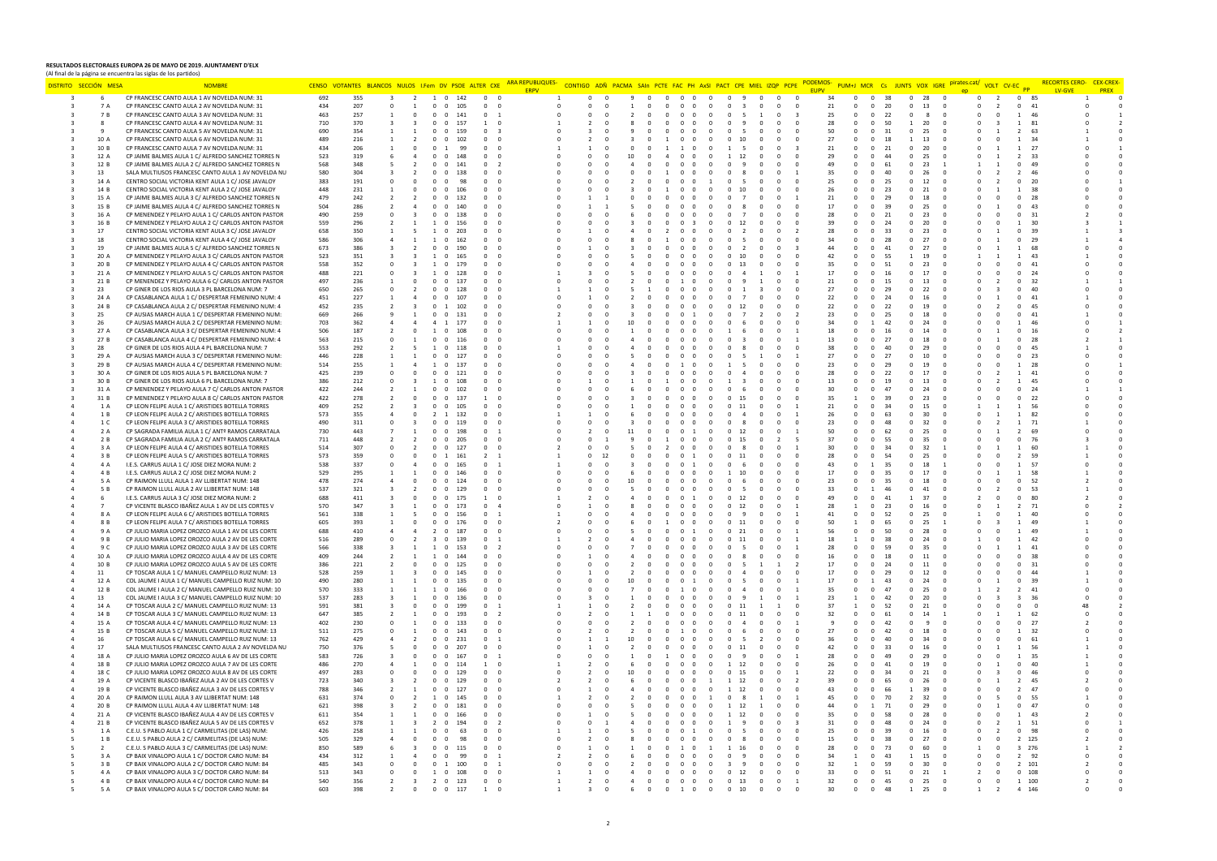## **RESULTADOS ELECTORALES EUROPA 26 DE MAYO DE 2019. AJUNTAMENT D'ELX**  (Al final de la página se encuentra las siglas de los partidos)

| DISTRITO SECCIÓN MESA | <b>NOMBR</b>                                                                                             |            | CENSO VOTANTES BLANCOS NULOS I.Fem DV PSOE ALTER CXE |                          |            |                       |                                         | <mark>RA REPUBLIQUES-</mark> |                |                |                   |        | CONTIGO ADÑ PACMA SAIn PCTE FAC PH AxSI PACT CPE MIEL IZOP |                            |              |                            |                  | PUM+J MCR Cs JUNTS VOX IGRE | pirates.cat | VOLT CV-EC <sub>PP</sub> |                       | <b>PREX</b> |
|-----------------------|----------------------------------------------------------------------------------------------------------|------------|------------------------------------------------------|--------------------------|------------|-----------------------|-----------------------------------------|------------------------------|----------------|----------------|-------------------|--------|------------------------------------------------------------|----------------------------|--------------|----------------------------|------------------|-----------------------------|-------------|--------------------------|-----------------------|-------------|
|                       | CP FRANCESC CANTO AULA 1 AV NOVELDA NUM: 31                                                              | 692        | 355                                                  | $\overline{2}$           |            | $1 \quad 0$<br>142    | $\mathbf{0}$<br>$\Omega$                | <b>ERPV</b>                  |                |                |                   |        |                                                            |                            | 34           | $\mathbf{0}$<br>$\Omega$   | 38               | 28<br>$\mathbf{0}$          | $\mathbf 0$ | $\overline{2}$           | LV-GVE<br>$0$ 85      |             |
| 7 A                   | CP FRANCESC CANTO AULA 2 AV NOVELDA NUM: 31                                                              | 434        | 207                                                  |                          |            | 105<br>0 <sub>0</sub> | $\overline{0}$<br>$\Omega$              |                              |                |                |                   |        |                                                            |                            | 21           | $\Omega$<br>$\Omega$       | 20               | 13<br>$^{\circ}$            |             | $\overline{2}$           | $\Omega$<br>41        |             |
|                       |                                                                                                          |            |                                                      |                          |            |                       |                                         |                              |                |                |                   |        |                                                            |                            |              |                            |                  |                             |             |                          |                       |             |
| 7 B                   | CP FRANCESC CANTO AULA 3 AV NOVELDA NUM: 31                                                              | 463<br>710 | 257<br>370                                           |                          | $^{\circ}$ | $\mathbf{0}$<br>141   | $\mathbf 0$                             |                              |                |                |                   |        |                                                            |                            | 25           | $^{\circ}$<br>$\mathbf{0}$ | 22               | 8                           |             |                          | 46                    |             |
|                       | CP FRANCESC CANTO AULA 4 AV NOVELDA NUM: 31                                                              |            |                                                      | $\mathbf{3}$             | $^{\circ}$ | $\Omega$<br>157       | $\mathbf{1}$<br>$\overline{\mathbf{0}}$ |                              |                |                |                   |        |                                                            |                            | 28           | $\Omega$                   | 50               | 20<br>$\mathbf{1}$          |             |                          | 81                    |             |
|                       | CP FRANCESC CANTO AULA 5 AV NOVELDA NUM: 31                                                              | 690        | 354                                                  |                          |            | $\Omega$<br>159       |                                         |                              |                |                |                   |        |                                                            |                            | 50           |                            |                  | 25                          |             |                          | 63                    |             |
| 10 A                  | CP FRANCESC CANTO AULA 6 AV NOVELDA NUM: 31                                                              | 489        | 216                                                  |                          | $\Omega$   | 102<br>$\Omega$       | $\Omega$<br>$^{\circ}$                  |                              |                |                |                   |        |                                                            |                            | 27           |                            |                  | -13                         |             |                          |                       |             |
| 10 B                  | CP FRANCESC CANTO AULA 7 AV NOVELDA NUM: 31                                                              | 434        | 206                                                  |                          |            |                       | $\mathbf 0$                             |                              |                |                |                   |        |                                                            |                            | 21           |                            |                  | 20                          |             |                          | 27                    |             |
| 12 A                  | CP JAIME BALMES AULA 1 C/ ALFREDO SANCHEZ TORRES N                                                       | 523        | 319                                                  |                          | $\Omega$   | $\Omega$<br>148       | $\Omega$<br>$\Omega$                    |                              | 10             |                |                   |        |                                                            |                            | 29           |                            |                  | 25                          |             |                          | -33                   |             |
| 12 B                  | CP JAIME BALMES AULA 2 C/ ALFREDO SANCHEZ TORRES N                                                       | 568        | 348                                                  |                          |            | 141                   |                                         |                              |                |                |                   |        |                                                            |                            | 49           |                            |                  | 23                          |             |                          | 49                    |             |
| 13                    | SALA MULTIUSOS FRANCESC CANTO AULA 1 AV NOVELDA NU                                                       | 580        | 304                                                  |                          |            | $\Omega$              |                                         |                              |                |                |                   |        |                                                            |                            | 35           |                            |                  |                             |             |                          |                       |             |
| 14 A                  | CENTRO SOCIAL VICTORIA KENT AULA 1 C/ JOSE JAVALOY                                                       | 383        | 191                                                  |                          |            |                       |                                         |                              |                |                |                   |        |                                                            |                            | 25           |                            |                  |                             |             |                          |                       |             |
| 14 B                  | CENTRO SOCIAL VICTORIA KENT AULA 2 C/ JOSE JAVALOY                                                       | 448        | 231                                                  | $\Omega$                 | $\Omega$   | $\Omega$<br>106       |                                         |                              |                |                |                   |        |                                                            |                            | 26           |                            | 23               | 21                          |             |                          | -38                   |             |
| 15 A                  | CP JAIME BALMES AULA 3 C/ ALFREDO SANCHEZ TORRES N                                                       | 479        | 242                                                  | $\overline{\phantom{a}}$ | $\Omega$   | $\Omega$<br>132       | $\Omega$                                |                              |                |                |                   |        |                                                            |                            | 21           |                            | 2 <sup>c</sup>   | 18                          |             |                          | 28                    |             |
| 15 B                  | CP JAIME BALMES AULA 4 C/ ALFREDO SANCHEZ TORRES N                                                       | 504        | 286                                                  |                          | $\Omega$   | $\Omega$              |                                         |                              |                |                |                   |        |                                                            |                            | 17           |                            |                  | 25                          |             |                          | 43                    |             |
| 16 A                  | CP MENENDEZ Y PELAYO AULA 1 C/ CARLOS ANTON PASTOR                                                       | 490        | 259                                                  |                          |            | $\Omega$              |                                         |                              |                |                |                   |        |                                                            |                            | 28           |                            |                  | 23                          |             |                          |                       |             |
| 16 B                  | CP MENENDEZ Y PELAYO AULA 2 C/ CARLOS ANTON PASTOR                                                       | 559        | 296                                                  |                          |            | $\sqrt{2}$<br>156     | $\Omega$<br>$\Omega$                    |                              |                |                |                   |        |                                                            |                            | 39           |                            |                  | 20                          |             |                          | 30                    |             |
| 17                    | CENTRO SOCIAL VICTORIA KENT AULA 3 C/ JOSE JAVALOY                                                       | 658        | 350                                                  |                          |            | 20 <sup>3</sup>       |                                         |                              |                |                |                   |        |                                                            |                            | 28           |                            |                  | 23                          |             |                          |                       |             |
| 18                    | CENTRO SOCIAL VICTORIA KENT AULA 4 C/ JOSE JAVALOY                                                       | 586        | 306                                                  |                          |            | $^{\circ}$            |                                         |                              |                |                |                   |        |                                                            |                            | 34           |                            |                  |                             |             |                          | 29                    |             |
| 19                    | CP JAIME BALMES AULA 5 C/ ALFREDO SANCHEZ TORRES N                                                       | 673        | 386                                                  |                          |            |                       |                                         |                              |                |                |                   |        |                                                            |                            |              |                            |                  |                             |             |                          |                       |             |
| 20 A                  | CP MENENDEZ Y PELAYO AULA 3 C/ CARLOS ANTON PASTOR                                                       | 523        | 351                                                  | -3                       | -1.        | $\Omega$<br>165       |                                         |                              |                |                |                   |        |                                                            |                            | 42           |                            | 55               | 19                          |             |                          | 43                    |             |
| 20 B                  | CP MENENDEZ Y PELAYO AULA 4 C/ CARLOS ANTON PASTOR                                                       | 558        | 352                                                  | $\Omega$                 |            | $\Omega$<br>179       |                                         |                              |                |                |                   |        |                                                            |                            | 35           |                            |                  | 23                          |             |                          | 41                    |             |
| 21 A                  | CP MENENDEZ Y PELAYO AULA 5 C/ CARLOS ANTON PASTOR                                                       | 488        | 221                                                  |                          |            | $\Omega$<br>128       | $\Omega$                                |                              |                |                |                   |        |                                                            |                            | 17           |                            |                  | 17                          |             |                          | 24                    |             |
| 21 B                  | CP MENENDEZ Y PELAYO AULA 6 C/ CARLOS ANTON PASTOR                                                       | 497        | 236                                                  |                          |            | $\Omega$<br>137       |                                         |                              |                |                |                   |        |                                                            |                            | 21           |                            |                  | 13                          |             |                          |                       |             |
| 23                    | CP GINER DE LOS RIOS AULA 3 PL BARCELONA NUM: 7                                                          | 650        | 265                                                  | $\overline{\phantom{a}}$ | $^{\circ}$ | $\Omega$<br>128       | $\Omega$<br>$\Omega$                    |                              |                |                |                   |        |                                                            |                            | 27           |                            |                  | 22                          |             |                          | 40                    |             |
| 24A                   | CP CASABLANCA AULA 1 C/ DESPERTAR FEMENINO NUM: 4                                                        | 451        | 227                                                  |                          |            | 107                   |                                         |                              |                |                |                   |        |                                                            |                            | 22           |                            |                  |                             |             |                          | 41                    |             |
| 24 B                  | CP CASABLANCA AULA 2 C/ DESPERTAR FEMENINO NUM: 4                                                        | 452        | 235                                                  |                          |            |                       |                                         |                              |                |                |                   |        |                                                            |                            | 22           |                            |                  |                             |             |                          |                       |             |
|                       |                                                                                                          |            |                                                      |                          |            |                       |                                         |                              |                |                |                   |        |                                                            |                            |              |                            |                  |                             |             |                          |                       |             |
| 25                    | CP AUSIAS MARCH AULA 1 C/ DESPERTAR FEMENINO NUM:                                                        | 669        | 266                                                  |                          |            |                       |                                         |                              |                |                |                   |        |                                                            |                            | 23           |                            |                  |                             |             |                          |                       |             |
| 26                    | CP AUSIAS MARCH AULA 2 C/ DESPERTAR FEMENINO NUM:                                                        | 703        | 362                                                  |                          |            | 177                   |                                         |                              |                |                |                   |        |                                                            |                            | 34           |                            |                  | 24                          |             |                          | 46                    |             |
| 27 A                  | CP CASABLANCA AULA 3 C/ DESPERTAR FEMENINO NUM: 4                                                        | 506        | 187                                                  | $\Omega$                 |            | $\Omega$              | $\Omega$                                |                              |                |                |                   |        |                                                            |                            | 18           |                            |                  | 14                          |             |                          | 16                    |             |
| 27 B                  | CP CASABLANCA AULA 4 C/ DESPERTAR FEMENINO NUM: 4                                                        | 563        | 215                                                  |                          |            | $\Omega$              |                                         |                              |                |                |                   |        |                                                            |                            | 13           |                            |                  | 18                          |             |                          | -28                   |             |
| 28                    | CP GINER DE LOS RIOS AULA 4 PL BARCELONA NUM: 7                                                          | 553        | 292                                                  |                          |            |                       |                                         |                              |                |                |                   |        |                                                            |                            | 38           |                            |                  | 29                          |             |                          | 45                    |             |
| 29 A                  | CP AUSIAS MARCH AULA 3 C/ DESPERTAR FEMENINO NUM:                                                        | 446        | 228                                                  |                          |            | $^{\circ}$            | $^{\circ}$                              |                              |                |                |                   |        |                                                            |                            | 27           |                            |                  | 10                          |             |                          | 23                    |             |
| 29 B                  | CP AUSIAS MARCH AULA 4 C/ DESPERTAR FEMENINO NUM:                                                        | 514        | 255                                                  |                          |            | $\Omega$<br>137       |                                         |                              |                |                |                   |        |                                                            |                            | 23           |                            |                  |                             |             |                          | 28                    |             |
| 30 A                  | CP GINER DE LOS RIOS AULA 5 PL BARCELONA NUM: 7                                                          | 425        | 239                                                  |                          |            |                       |                                         |                              |                |                |                   |        |                                                            |                            | 28           |                            |                  |                             |             |                          |                       |             |
| 30 B                  | CP GINER DE LOS RIOS AULA 6 PL BARCELONA NUM: 7                                                          | 386        | 212                                                  |                          |            |                       |                                         |                              |                |                |                   |        |                                                            |                            | 13           |                            |                  |                             |             |                          |                       |             |
| 31 A                  | CP MENENDEZ Y PELAYO AULA 7 C/ CARLOS ANTON PASTOR                                                       | 422        | 244                                                  |                          | $^{\circ}$ | 102<br>$\Omega$       | $\Omega$                                |                              |                |                |                   |        |                                                            |                            | 30           |                            |                  | 24                          |             |                          | 24                    |             |
| 31 B                  | CP MENENDEZ Y PELAYO AULA 8 C/ CARLOS ANTON PASTOR                                                       | 422        | 278                                                  |                          | $\Omega$   | $\Omega$<br>137       |                                         |                              |                |                |                   |        |                                                            |                            | 35           |                            |                  | 23                          |             |                          | 22                    |             |
| 1 A                   | CP LEON FELIPE AULA 1 C/ ARISTIDES BOTELLA TORRES                                                        | 409        | 252                                                  |                          |            | $\Omega$              |                                         |                              |                |                |                   |        |                                                            |                            | 21           |                            |                  | 15                          |             |                          |                       |             |
| 1B                    | CP LEON FELIPE AULA 2 C/ ARISTIDES BOTELLA TORRES                                                        | 573        | 355                                                  |                          |            | 132                   | $\mathbf 0$                             |                              |                |                |                   |        |                                                            |                            | 26           |                            |                  | 30                          |             |                          | 82                    |             |
| 1 C                   | CP LEON FELIPE AULA 3 C/ ARISTIDES BOTELLA TORRES                                                        | 490        | 311                                                  |                          | $^{\circ}$ | 119<br>$^{\circ}$     | $^{\circ}$                              |                              |                |                |                   |        |                                                            |                            | 23           |                            |                  | 32                          |             |                          | 71                    |             |
| 2 A                   | CP SAGRADA FAMILIA AULA 1 C/ ANTº RAMOS CARRATALA                                                        | 730        | 443                                                  |                          |            | $\Omega$<br>198       |                                         |                              |                |                |                   |        |                                                            |                            | 50           |                            |                  | 25                          |             |                          | 69                    |             |
| 2 B                   | CP SAGRADA FAMILIA AULA 2 C/ ANTº RAMOS CARRATALA                                                        | 711        | 448                                                  |                          |            | $\Omega$              |                                         |                              |                |                |                   |        |                                                            |                            | 37           |                            |                  |                             |             |                          | -76                   |             |
| 3 A                   | CP LEON FELIPE AULA 4 C/ ARISTIDES BOTELLA TORRES                                                        | 514        | 307                                                  | $\overline{\phantom{a}}$ | $\Omega$   | $\Omega$<br>127       |                                         |                              |                |                |                   |        |                                                            |                            | 30           |                            |                  | 32                          |             |                          | -60                   |             |
| 3 B                   | CP LEON FELIPE AULA 5 C/ ARISTIDES BOTELLA TORRES                                                        | 573        | 359                                                  |                          |            | 161                   |                                         |                              |                |                |                   |        |                                                            |                            | 28           |                            |                  | 25                          |             |                          | 59                    |             |
|                       |                                                                                                          |            |                                                      |                          |            | 165                   |                                         |                              |                |                |                   |        |                                                            |                            | 43           |                            | 35               | 18                          |             |                          | 57                    |             |
| 4 A                   | I.E.S. CARRUS AULA 1 C/ JOSE DIEZ MORA NUM: 2                                                            | 538        | 337                                                  |                          |            |                       |                                         |                              |                |                |                   |        |                                                            |                            |              |                            |                  |                             |             |                          |                       |             |
| 4 B                   | I.E.S. CARRUS AULA 2 C/ JOSE DIEZ MORA NUM: 2                                                            | 529        | 295                                                  |                          |            | $\Omega$              |                                         |                              |                |                |                   |        |                                                            |                            | 17           |                            |                  | 17                          |             |                          | 58                    |             |
| 5 A                   | CP RAIMON LLULL AULA 1 AV LLIBERTAT NUM: 148                                                             | 478        | 274                                                  |                          |            | $\Omega$<br>124       | $\mathbf 0$                             |                              |                |                |                   |        |                                                            |                            | 23           |                            |                  |                             |             |                          | 52                    |             |
| 5 B                   | CP RAIMON LLULL AULA 2 AV LLIBERTAT NUM: 148                                                             | 537        | 321                                                  |                          | $^{\circ}$ | 129<br>$^{\circ}$     | 0                                       |                              |                |                |                   |        |                                                            |                            | 33           |                            |                  | 41                          |             |                          | 53                    |             |
|                       | I.E.S. CARRUS AULA 3 C/ JOSE DIEZ MORA NUM: 2                                                            | 688        | 411                                                  |                          |            | $\Omega$<br>175       |                                         |                              |                |                |                   |        |                                                            |                            | 49           |                            |                  | 37                          |             |                          | 80                    |             |
|                       | CP VICENTE BLASCO IBAÑEZ AULA 1 AV DE LES CORTES V                                                       | 570        | 347                                                  |                          |            | $\Omega$              |                                         |                              |                |                |                   |        |                                                            |                            | 28           |                            |                  |                             |             |                          | -71                   |             |
| 8 A                   | CP LEON FELIPE AULA 6 C/ ARISTIDES BOTELLA TORRES                                                        | 561        | 338                                                  |                          | $\Omega$   | $\Omega$<br>156       |                                         |                              |                |                |                   |        |                                                            |                            | 41           |                            | -52              | 25                          |             |                          | 40                    |             |
| 8 B                   | CP LEON FELIPE AULA 7 C/ ARISTIDES BOTELLA TORRES                                                        | 605        | 393                                                  | $\Omega$                 | $\Omega$   | $\Omega$              |                                         |                              |                |                |                   |        |                                                            |                            | 50           |                            |                  | 25                          |             |                          | 49                    |             |
| 9 A                   | CP JULIO MARIA LOPEZ OROZCO AULA 1 AV DE LES CORTE                                                       | 688        | 410                                                  |                          |            | $\Omega$<br>187       |                                         |                              |                |                |                   |        |                                                            |                            | 56           |                            | -50              | 28                          |             |                          | 49                    |             |
| 9 B                   | CP JULIO MARIA LOPEZ OROZCO AULA 2 AV DE LES CORTE                                                       | 516        | 289                                                  |                          |            |                       |                                         |                              |                |                |                   |        |                                                            |                            | 18           |                            |                  |                             |             |                          |                       |             |
| 9 C                   | CP JULIO MARIA LOPEZ OROZCO AULA 3 AV DE LES CORTE                                                       | 566        | 338                                                  |                          |            | $\Omega$<br>153       |                                         |                              |                |                |                   |        |                                                            |                            | 28           |                            |                  |                             |             |                          |                       |             |
| 10 A                  | CP JULIO MARIA LOPEZ OROZCO AULA 4 AV DE LES CORTE                                                       | 409        | 244                                                  |                          |            | $^{\circ}$            | $\mathbf 0$<br>$^{\circ}$               |                              |                |                |                   |        |                                                            |                            | 16           |                            |                  | 11                          |             |                          | 38                    |             |
| 10 B                  | CP JULIO MARIA LOPEZ OROZCO AULA 5 AV DE LES CORTE                                                       | 386        | 221                                                  |                          |            | $\Omega$<br>125       | $\Omega$<br>$\Omega$                    |                              |                |                |                   |        |                                                            |                            | 17           |                            |                  | 11                          |             |                          | 31                    |             |
| 11                    | CP TOSCAR AULA 1 C/ MANUEL CAMPELLO RUIZ NUM: 13                                                         | 528        | 259                                                  |                          |            | $\Omega$              |                                         |                              |                |                |                   |        |                                                            |                            | 17           |                            |                  | 12                          |             |                          |                       |             |
| 12 A                  | COL JAUME I AULA 1 C/ MANUEL CAMPELLO RUIZ NUM: 10                                                       | 490        | 280                                                  |                          | $\Omega$   | $\Omega$<br>135       |                                         |                              |                |                |                   |        |                                                            |                            | 17           |                            |                  | 24                          |             |                          | -39                   |             |
| 12 B                  | COL JAUME I AULA 2 C/ MANUEL CAMPELLO RUIZ NUM: 10                                                       | 570        | 333                                                  |                          |            | $\Omega$              |                                         |                              |                |                |                   |        |                                                            |                            | 35           |                            |                  | 25                          |             |                          | 41                    |             |
| 13                    | COL JAUME I AULA 3 C/ MANUEL CAMPELLO RUIZ NUM: 10                                                       | 537        | 283                                                  |                          |            | $\Omega$<br>136       |                                         |                              |                |                |                   |        |                                                            |                            | 23           |                            | 42               | 20                          |             |                          | 36                    |             |
| 14 A                  | CP TOSCAR AULA 2 C/ MANUEL CAMPELLO RUIZ NUM: 13                                                         | 591        | 381                                                  |                          |            |                       |                                         |                              |                |                |                   |        |                                                            |                            | 37           |                            | -52              | 21                          |             |                          |                       |             |
| 14 B                  | CP TOSCAR AULA 3 C/ MANUEL CAMPELLO RUIZ NUM: 13                                                         | 647        | 385                                                  |                          |            | $\Omega$<br>193       |                                         |                              |                |                |                   |        |                                                            |                            | 32           |                            |                  |                             |             |                          | 62                    |             |
| 15 A                  | CP TOSCAR AULA 4 C/ MANUEL CAMPELLO RUIZ NUM: 13                                                         | 402        | 230                                                  |                          |            | 133<br>$^{\circ}$     |                                         |                              |                |                |                   |        |                                                            |                            |              |                            |                  |                             |             |                          | 27                    |             |
| 15 B                  | CP TOSCAR AULA 5 C/ MANUEL CAMPELLO RUIZ NUM: 13                                                         | 511        | 275                                                  |                          |            | $\Omega$<br>143       | $\Omega$                                |                              |                |                |                   |        |                                                            |                            | 27           |                            |                  | 18                          |             |                          | 32                    |             |
| 16                    | CP TOSCAR AULA 6 C/ MANUEL CAMPELLO RUIZ NUM: 13                                                         | 762        | 429                                                  |                          |            | $\Omega$              |                                         |                              |                |                |                   |        |                                                            |                            | 36           |                            |                  |                             |             |                          | 61                    |             |
| 17                    | SALA MULTIUSOS FRANCESC CANTO AULA 2 AV NOVELDA NU                                                       | 750        | 376                                                  | $\Omega$                 |            | $\Omega$              |                                         |                              |                |                |                   |        |                                                            |                            | 42           |                            |                  | 16                          |             |                          | 56                    |             |
| 18 A                  | CP JULIO MARIA LOPEZ OROZCO AULA 6 AV DE LES CORTE                                                       | 583        | 726                                                  |                          |            | $\Omega$              |                                         |                              |                |                |                   |        |                                                            |                            | 28           |                            |                  | 29                          |             |                          | 35                    |             |
| 18 B                  |                                                                                                          | 486        | 270                                                  |                          |            | $\Omega$<br>114       | $\Omega$                                |                              |                |                |                   |        |                                                            |                            |              |                            | $\overline{a}$ 1 | 19                          |             |                          | $\Delta$ 0            |             |
| 18 C                  | CP JULIO MARIA LOPEZ OROZCO AULA 7 AV DE LES CORTE<br>CP JULIO MARIA LOPEZ OROZCO AULA 8 AV DE LES CORTE | 497        | 283                                                  |                          |            | 129                   | $\mathbf 0$                             |                              |                |                |                   |        |                                                            |                            | 26<br>22     |                            |                  | 21                          |             |                          |                       |             |
|                       |                                                                                                          |            |                                                      |                          |            | $^{\circ}$            |                                         |                              |                |                |                   |        |                                                            |                            |              |                            |                  |                             |             |                          |                       |             |
| 19 A                  | CP VICENTE BLASCO IBAÑEZ AULA 2 AV DE LES CORTES V                                                       | 723        | 340                                                  |                          |            | $\Omega$<br>129       | $^{\circ}$                              |                              |                |                |                   |        |                                                            |                            | 39           |                            |                  |                             |             |                          | 45                    |             |
| 19 B                  | CP VICENTE BLASCO IBAÑEZ AULA 3 AV DE LES CORTES V                                                       | 788        | 346                                                  |                          |            | - 0                   |                                         |                              |                |                |                   |        |                                                            |                            | 43           |                            |                  | 39                          |             |                          | 47                    |             |
| 20 A                  | CP RAIMON LLULL AULA 3 AV LLIBERTAT NUM: 148                                                             | 631        | 374                                                  |                          |            | $\Omega$<br>145       | $\Omega$<br>$\Omega$                    |                              |                |                |                   |        |                                                            |                            | 45           |                            |                  | 32                          |             |                          | 55                    |             |
| 20 B                  | CP RAIMON LLULL AULA 4 AV LLIBERTAT NUM: 148                                                             | 621        | 398                                                  |                          |            | $\Omega$              |                                         |                              |                |                |                   |        |                                                            |                            |              |                            |                  | 29                          |             |                          | 47                    |             |
| 21 A                  | CP VICENTE BLASCO IBAÑEZ AULA 4 AV DE LES CORTES V                                                       | 611        | 354                                                  |                          | $\Omega$   | $\Omega$<br>166       |                                         |                              |                |                |                   |        |                                                            |                            | 35           |                            |                  | 28                          |             |                          | 43                    |             |
| 21 B                  | CP VICENTE BLASCO IBAÑEZ AULA 5 AV DE LES CORTES V                                                       | 652        | 378                                                  |                          |            |                       |                                         |                              |                |                |                   |        |                                                            |                            | 31           |                            |                  |                             |             |                          | 51                    |             |
| 1 A                   | C.E.U. S PABLO AULA 1 C/ CARMELITAS (DE LAS) NUM:                                                        | 426        | 258                                                  |                          |            | $\Omega$<br>63        |                                         |                              |                |                |                   |        |                                                            |                            | 25           |                            |                  |                             |             |                          | 98                    |             |
| 1 B                   | C.E.U. S PABLO AULA 2 C/ CARMELITAS (DE LAS) NUM:                                                        | 505        | 329                                                  |                          |            |                       |                                         |                              |                |                |                   |        |                                                            |                            | 15           |                            |                  |                             |             |                          | 125                   |             |
|                       | C.E.U. S PABLO AULA 3 C/ CARMELITAS (DE LAS) NUM:                                                        | 850        | 589                                                  |                          |            |                       |                                         |                              |                |                |                   |        |                                                            |                            | 28           |                            | -73              |                             |             |                          | 276                   |             |
| 3 A                   | CP BAIX VINALOPO AULA 1 C/ DOCTOR CARO NUM: 84                                                           | 434        | 312                                                  |                          |            | $^{\circ}$            |                                         |                              |                |                |                   |        |                                                            |                            | 34           |                            |                  | 15                          |             |                          | 92                    |             |
| 3 B                   | CP BAIX VINALOPO AULA 2 C/ DOCTOR CARO NUM: 84                                                           | 485        | 343                                                  |                          |            | 0 <sub>1</sub><br>100 |                                         |                              |                |                | 0 <sub>0</sub>    |        |                                                            | $\Omega$                   | 32           |                            | 59               | 30                          |             |                          | $\overline{2}$<br>101 |             |
| 4 A                   | CP BAIX VINALOPO AULA 3 C/ DOCTOR CARO NUM: 84                                                           | 513        | 343                                                  |                          |            | 1 0 108               | $\Omega$                                |                              |                | $\Omega$       | 0 <sub>0</sub>    | $\sim$ | $0 \t12$                                                   | $\Omega$                   | 33           | $\Omega$                   | 51               | 21<br>$\Omega$              |             |                          | 0, 108                |             |
| 4 B                   | CP BAIX VINALOPO AULA 4 C/ DOCTOR CARO NUM: 84                                                           | 540        | 356                                                  | $\mathbf{R}$             |            | 2 0 123               | $^{\circ}$<br>$\Omega$                  |                              | $\overline{a}$ | $\Omega$       | $0\quad 0\quad 0$ | $\sim$ | 0 13<br>$\Omega$                                           | $\Omega$<br>$\overline{1}$ | 32           | $\Omega$<br>$\Omega$       | 45               | $\Omega$<br>25<br>$\Omega$  | $\Omega$    | $\Omega$                 | 1 100                 |             |
| 5 A                   | CP BAIX VINALOPO AULA 5 C/ DOCTOR CARO NUM: 84                                                           | 603        | 398                                                  |                          |            | $0\quad 0$<br>117     |                                         |                              |                | $\overline{0}$ | 1 0               |        | $0$ 10                                                     |                            | $30^{\circ}$ |                            | 48               | 25                          |             |                          |                       |             |
|                       |                                                                                                          |            |                                                      |                          |            |                       |                                         |                              |                |                |                   |        |                                                            |                            |              |                            |                  |                             |             |                          |                       |             |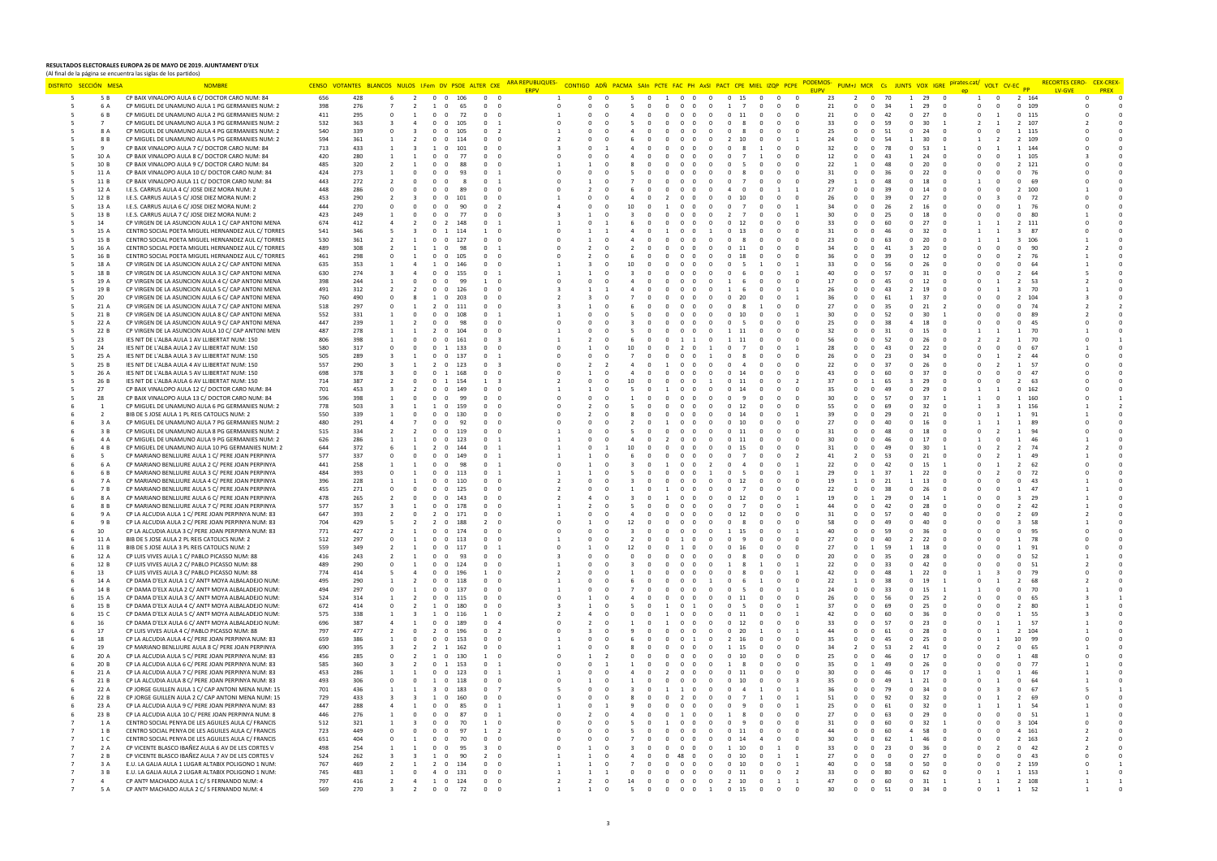## **RESULTADOS ELECTORALES EUROPA 26 DE MAYO DE 2019. AJUNTAMENT D'ELX**

(Al final de la página se encuentra las siglas de los partidos) DISTRITO SECCIÓN MESA NOMBRE NOMBRE CENSO VOTANTES BLANCOS NULOS LFem DV PSOE ALTER CKE ARAREPUBUQUES- CONTIGO ADÑ PACMA SAIN PCTE FAC PH ANSI PACT CPE MIEL IZQP PCPE PODEMOS- PUM+J MCR CS JUNTS VOX IGRE <sup>pirates.cat/</sup> vol **ERPV** 5 5B CP BAIX VINALOPO AULA 6 C/ DOCTOR CARO NUM: 84 6 6 6 428 6 2 0 0 106 0 0 0 1 0 0 0 5 0 1 0 0 0 0 15 0 0 0 23 2 0 70 1 29 0 1 0 2 164 0 0 <sup>5</sup> <sup>6</sup> <sup>A</sup> CP MIGUEL DE UNAMUNO AULA 1 PG GERMANIES NUM: 2 <sup>398</sup> <sup>276</sup> <sup>7</sup> <sup>2</sup> <sup>1</sup> <sup>0</sup> <sup>65</sup> <sup>0</sup> <sup>0</sup> <sup>0</sup> <sup>0</sup> <sup>0</sup> <sup>5</sup> <sup>0</sup> <sup>0</sup> <sup>0</sup> <sup>0</sup> <sup>0</sup> <sup>1</sup> <sup>7</sup> <sup>0</sup> <sup>0</sup> <sup>0</sup> <sup>21</sup> <sup>0</sup> <sup>0</sup> <sup>34</sup> <sup>1</sup> <sup>29</sup> <sup>0</sup> <sup>0</sup> <sup>0</sup> <sup>0</sup> <sup>109</sup> <sup>0</sup> <sup>0</sup>5 6B CP.MIGUEL DE UNAMUNO AULA 2 PG GERMANIES NUM: 2 411 295 0 1 0 0 72 0 0 1 0 0 1 0 0 4 0 0 0 0 0 0 11 0 0 0 21 0 0 42 0 27 0 0 1 0 115 0 0 <sup>5</sup> <sup>7</sup> CP MIGUEL DE UNAMUNO AULA 3 PG GERMANIES NUM: 2 <sup>532</sup> <sup>363</sup> <sup>3</sup> <sup>4</sup> <sup>0</sup> <sup>0</sup> <sup>105</sup> <sup>0</sup> <sup>1</sup> <sup>0</sup> <sup>0</sup> <sup>0</sup> <sup>5</sup> <sup>0</sup> <sup>0</sup> <sup>0</sup> <sup>0</sup> <sup>0</sup> <sup>0</sup> <sup>8</sup> <sup>0</sup> <sup>0</sup> <sup>0</sup> <sup>33</sup> <sup>0</sup> <sup>0</sup> <sup>59</sup> <sup>0</sup> <sup>30</sup> <sup>1</sup> <sup>2</sup> <sup>1</sup> <sup>2</sup> <sup>107</sup> <sup>2</sup> <sup>0</sup>5 8A CP.MIGUEL DE UNAMUNO AULA 4 PG GERMANIES NUM: 2 540 339 0 3 0 0 105 0 2 1 0 0 4 0 0 0 0 0 0 8 0 0 0 25 0 0 51 0 24 0 0 0 1 115 0 0 5 8B CP.MIGUEL DE UNAMUNO AULA 5 PG GERMANIES NUM: 2 594 361 1 2 0 0 114 0 0 2 0 0 6 0 0 0 0 0 0 2 10 0 0 1 24 0 0 54 1 30 0 1 2 2 109 0 0 5 9 CP BAIX VINALOPO AULA 7C/DOCTOR CARO NUM: 84 713 433 1 3 1 0 101 0 0 3 0 1 4 0 0 0 0 0 0 8 1 0 0 32 0 0 78 0 53 1 0 1 1 144 0 0 5 10 A CP BAIX VINALOPO AULA 8 C/ DOCTOR CARO NUM: 84 420 280 1 1 0 0 77 0 0 0 0 0 0 0 0 0 0 0 0 0 7 1 0 0 12 0 0 43 1 24 0 0 0 1 105 3 0 5 10 B CP BAIX VINALOPO AULA 9 C/ DOCTOR CARO NUM: 84 485 320 2 1 0 0 88 0 0 1 1 1 0 8 0 0 0 0 0 5 0 0 0 22 1 0 48 0 20 0 0 0 2 121 0 0 <sup>5</sup> <sup>11</sup> <sup>A</sup> CP BAIX VINALOPO AULA 10 C/ DOCTOR CARO NUM: 84 <sup>424</sup> <sup>273</sup> <sup>1</sup> <sup>0</sup> <sup>0</sup> <sup>0</sup> <sup>93</sup> <sup>0</sup> <sup>1</sup> <sup>0</sup> <sup>0</sup> <sup>0</sup> <sup>5</sup> <sup>0</sup> <sup>0</sup> <sup>0</sup> <sup>0</sup> <sup>0</sup> <sup>0</sup> <sup>8</sup> <sup>0</sup> <sup>0</sup> <sup>0</sup> <sup>31</sup> <sup>0</sup> <sup>0</sup> <sup>36</sup> <sup>0</sup> <sup>22</sup> <sup>0</sup> <sup>0</sup> <sup>0</sup> <sup>0</sup> <sup>76</sup> <sup>0</sup> <sup>0</sup>5 11 BC P.BAIX VINALOPO AULA 11 C/ DOCTOR CARO NUM: 84 443 272 2 0 0 0 8 0 1 0 0 1 0 7 0 0 0 0 0 0 0 7 0 0 0 29 1 0 48 0 18 0 1 0 0 69 0 0 5 12 A I.E.S. CARRUS AULA 4 C/ JOSE DIEZ MORA NUM: 2 448 286 0 0 0 0 89 0 0 0 0 2 0 6 0 0 0 0 0 1 0 1 27 0 0 39 0 14 0 0 0 2 100 1 0 5 12 B I.E.S. CARRUS AULA 5 C/ JOSE DIEZ MORA NUM: 2 453 290 2 3 0 0 101 0 0 1 0 0 4 0 2 0 0 0 0 10 0 0 0 26 0 0 39 0 27 0 0 3 0 72 0 0 5 13 A I.E.S. CARRUS AULA 6 C/ JOSE DIEZ MORA NUM: 2 444 270 0 0 0 0 90 0 2 4 0 0 1 0 0 0 0 7 0 0 1 34 0 0 26 2 16 0 0 0 1 76 0 0 5 13 B I.E.S. CARRUS AULA 7 C/ JOSE DIEZ MORA NUM: 2 423 249 1 0 0 0 77 0 0 3 1 0 3 0 0 0 0 0 2 7 0 0 1 30 0 0 25 0 18 0 0 0 0 80 1 0 5 14 CP VIRGEN DE LA ASUNCION AULA 1 C/ CAP ANTONI MENA 674 412 4 2 0 2 148 0 1 1 0 1 6 0 0 0 0 0 12 0 0 0 33 0 0 60 0 27 0 1 1 2 111 0 0 0 5 15A CENTRO SOCIAL POETA MIGUEL HERNANDEZ AUL C/TORRES 541 346 5 3 0 1 114 1 0 0 0 1 1 1 4 0 1 0 0 1 0 13 0 0 0 0 31 0 0 46 0 32 0 1 1 3 87 0 0 0 5 15 B CENTRO SOCIAL POETA MIGUEL HERNANDEZ AUL C/TORRES 530 361 2 1 0 0 127 0 0 0 0 1 0 4 0 0 0 0 0 0 8 0 0 0 23 0 0 63 0 20 0 1 1 3 106 1 0 5 16 A CENTRO SOCIAL POETA MIGUEL HERNANDEZ AUL C/ TORRES 489 308 2 1 1 0 98 0 1 0 2 0 2 0 0 0 0 0 11 0 0 0 34 0 0 41 3 20 0 0 0 0 90 2 0 5 16 B CENTRO SOCIAL POETA MIGUEL HERNANDEZ AUL C/ TORRES 461 298 0 1 0 0 105 0 0 0 0 2 0 6 0 0 0 0 0 0 18 0 0 0 39 0 12 0 0 0 2 76 1 0 .<br>18 A CP VIRGEN DE LA ASUNCION AULA 2 C/ CAP ANTONI MENA 635 353 1 4 1 0 146 0 0 0 1 3 0 10 0 0 0 0 0 5 1 0 1 33<br>18 B CP VIRGEN DE LA ASILINCION AULA 3 C/ CAP ANTONI MENA 630 274 3 4 0 0 155 0 1 1 1 0 3 0 0 0 0 0 6 0 0 1 5 18 B CP VIRGEN DE LA ASUNCION AULA 3 C/ CAP ANTONI MENA 630 274 3 4 0 0 155 0 1 1 0 1 0 3 0 0 0 0 0 0 0 6 0 0 1 40 0 0 57 0 31 0 0 0 2 64 5 0 <sup>5</sup> <sup>19</sup> <sup>A</sup> CP VIRGEN DE LA ASUNCION AULA 4 C/ CAP ANTONI MENA <sup>398</sup> <sup>244</sup> <sup>1</sup> <sup>0</sup> <sup>0</sup> <sup>0</sup> <sup>99</sup> <sup>1</sup> <sup>0</sup> <sup>0</sup> <sup>0</sup> <sup>0</sup> <sup>4</sup> <sup>0</sup> <sup>0</sup> <sup>0</sup> <sup>0</sup> <sup>0</sup> <sup>1</sup> <sup>6</sup> <sup>0</sup> <sup>0</sup> <sup>0</sup> <sup>17</sup> <sup>0</sup> <sup>0</sup> <sup>45</sup> <sup>0</sup> <sup>12</sup> <sup>0</sup> <sup>0</sup> <sup>1</sup> <sup>2</sup> <sup>53</sup> <sup>2</sup> <sup>0</sup>5 19 B CP VIRGEN DE LA ASUNCION AULA 5 C/ CAP ANTONI MENA 491 312 2 2 0 0 126 0 0 3 3 1 1 4 0 0 0 0 0 1 6 0 0 1 26 0 0 43 2 19 0 0 1 3 70<br>20 CP VIRGEN DE LA ASUNCION AULA 6 C/ CAP ANTONI MENA 760 490 0 8 1 0 203 0 0 2 3 0 .<br>5 21 A CP VIRGEN DE LA ASUNCION AULA 6 C/ CAP ANTONI MENA 760 490 0 8 1 0 203 0 0 2 3 0 7 0 0 0 0 0 0 0 20 0 0<br>21 A CP VIRGEN DE LA ASUNCION AULA 7 C/ CAP ANTONI MENA 518 297 0 1 2 0 111 0 0 3 1 0 6 0 0 0 0 0 8 1 0 0 27 <sup>5</sup> <sup>21</sup> <sup>A</sup> CP VIRGEN DE LA ASUNCION AULA 7 C/ CAP ANTONI MENA <sup>518</sup> <sup>297</sup> <sup>0</sup> <sup>1</sup> <sup>2</sup> <sup>0</sup> <sup>111</sup> <sup>0</sup> <sup>0</sup> <sup>3</sup> <sup>1</sup> <sup>0</sup> <sup>6</sup> <sup>0</sup> <sup>0</sup> <sup>0</sup> <sup>0</sup> <sup>0</sup> <sup>0</sup> <sup>8</sup> <sup>1</sup> <sup>0</sup> <sup>0</sup> <sup>27</sup> <sup>0</sup> <sup>0</sup> <sup>35</sup> <sup>0</sup> <sup>21</sup> <sup>2</sup> <sup>0</sup> <sup>0</sup> <sup>0</sup> <sup>74</sup> <sup>2</sup> <sup>2</sup>5 21 B CP VIRGEN DE LA ASUNCION AULA 8 C/ CAP ANTONI MENA 552 331 1 0 0 0 108 0 1 1 0 0 0 50 0 0 0 0 0 0 0 10 0 0 1 30 0 0 52 0 30 1 0 0 0 89 2 0 5 22A CP VIRGEN DE LA ASUNCION AULA 9 C/CAP ANTONI MENA 447 239 1 2 0 0 98 0 0 0 0 0 0 0 0 0 0 0 0 0 5 0 0 0 25 0 0 38 4 18 0 0 0 0 45 0 0 5 22.B CP VIRGEN DE LA ASUNCION AULA 10C/ CAP ANTONI MEN 487 278 1 1 2 0 104 0 0 0 1 0 0 5 0 0 0 0 0 1 11 0 0 0 32 0 0 31 0 15 0 1 1 1 70 1 0 5 23 IESNIT DE L'ALBA AULA 1 AV LIBERTAT NUM: 150 806 398 1 0 0 0 161 0 3 1 2 0 6 0 0 1 1 0 1 11 0 0 0 56 0 0 52 0 26 0 2 2 1 70 0 0 1 5 24 IESNIT DE L'ALBA AULA 2 AV LLIBERTAT NUM: 150 \$80 317 0 0 0 1 133 0 0 0 1 0 10 0 0 2 0 1 0 7 0 0 1 28 0 0 43 0 22 0 0 0 0 67 1 0 5 25 A IES NIT DEL'ALBA AULA 3 AV LUBERTAT NUM: 150 269 3 3 1 0 0 137 0 1 0 0 0 7 0 0 0 0 1 0 8 0 0 0 26 0 0 23<br>25 A IES NIT DEL'ALBA AULA 4 AV LUBERTAT NUM: 150 259 3 3 1 0 0 137 0 1 0 0 0 7 0 0 0 1 0 8 0 0 0 23 0 34 0 0<br> 5 25 B IESNIT DE L'ALBA AULA 4 AV LLIBERTAT NUM: 150 557 290 3 1 2 0 123 0 3 0 2 2 4 0 1 0 0 0 0 4 0 0 0 22 0 0 37 0 26 0 0 2 1 57 0 0 5 26 A IESNIT DE L'ALBA AULA 5 AV LLIBERTAT NUM: 150 698 378 3 0 0 1 168 0 0 0 0 1 0 0 1 0 4 0 0 0 0 0 14 0 0 0 43 0 0 60 0 37 0 0 0 0 47 0 0 5 26 B IESNIT DE L'ALBA AULA 6 AV LLIBERTAT NUM: 150 714 387 2 0 0 1 154 1 3 2 0 0 10 0 0 0 0 1 0 11 0 0 2 37 0 1 65 3 29 0 0 0 2 63 0 0 5 27 CP BAIX VINALOPO AULA 12 C/ DOCTOR CARO NUM: 84 701 453 3 2 0 0 149 0 0 1 1 0 5 0 1 0 0 0 0 14 0 0 0 35 0 0 49 0 29 0 1 1 0 162 0 0 <sup>5</sup> <sup>28</sup> CP BAIX VINALOPO AULA 13 C/ DOCTOR CARO NUM: 84 <sup>596</sup> <sup>398</sup> <sup>1</sup> <sup>0</sup> <sup>0</sup> <sup>0</sup> <sup>99</sup> <sup>0</sup> <sup>0</sup> <sup>0</sup> <sup>0</sup> <sup>0</sup> <sup>1</sup> <sup>0</sup> <sup>0</sup> <sup>0</sup> <sup>0</sup> <sup>0</sup> <sup>0</sup> <sup>9</sup> <sup>0</sup> <sup>0</sup> <sup>0</sup> <sup>30</sup> <sup>0</sup> <sup>0</sup> <sup>57</sup> <sup>0</sup> <sup>37</sup> <sup>1</sup> <sup>1</sup> <sup>0</sup> <sup>1</sup> <sup>160</sup> <sup>0</sup> <sup>1</sup><sup>6</sup> <sup>1</sup> CP MIGUEL DE UNAMUNO AULA 6 PG GERMANIES NUM: 2 <sup>778</sup> <sup>503</sup> <sup>3</sup> <sup>1</sup> <sup>1</sup> <sup>0</sup> <sup>159</sup> <sup>0</sup> <sup>0</sup> <sup>0</sup> <sup>2</sup> <sup>0</sup> <sup>5</sup> <sup>0</sup> <sup>0</sup> <sup>0</sup> <sup>0</sup> <sup>0</sup> <sup>0</sup> <sup>12</sup> <sup>0</sup> <sup>0</sup> <sup>0</sup> <sup>55</sup> <sup>0</sup> <sup>0</sup> <sup>69</sup> <sup>0</sup> <sup>32</sup> <sup>0</sup> <sup>1</sup> <sup>3</sup> <sup>1</sup> <sup>156</sup> <sup>1</sup> <sup>2</sup><sup>6</sup> <sup>2</sup> BIB DE S JOSE AULA 1 PL REIS CATOLICS NUM: 2 <sup>550</sup> <sup>339</sup> <sup>1</sup> <sup>0</sup> <sup>0</sup> <sup>0</sup> <sup>130</sup> <sup>0</sup> <sup>0</sup> <sup>0</sup> <sup>2</sup> <sup>0</sup> <sup>8</sup> <sup>0</sup> <sup>0</sup> <sup>0</sup> <sup>0</sup> <sup>0</sup> <sup>0</sup> <sup>14</sup> <sup>0</sup> <sup>0</sup> <sup>1</sup> <sup>39</sup> <sup>0</sup> <sup>0</sup> <sup>29</sup> <sup>0</sup> <sup>21</sup> <sup>0</sup> <sup>0</sup> <sup>1</sup> <sup>1</sup> <sup>91</sup> <sup>1</sup> <sup>0</sup><sup>6</sup> <sup>3</sup> <sup>A</sup> CP MIGUEL DE UNAMUNO AULA 7 PG GERMANIES NUM: 2 <sup>480</sup> <sup>291</sup> <sup>4</sup> <sup>7</sup> <sup>0</sup> <sup>0</sup> <sup>92</sup> <sup>0</sup> <sup>0</sup> <sup>0</sup> <sup>0</sup> <sup>0</sup> <sup>2</sup> <sup>0</sup> <sup>1</sup> <sup>0</sup> <sup>0</sup> <sup>0</sup> <sup>0</sup> <sup>10</sup> <sup>0</sup> <sup>0</sup> <sup>0</sup> <sup>27</sup> <sup>0</sup> <sup>0</sup> <sup>40</sup> <sup>0</sup> <sup>16</sup> <sup>0</sup> <sup>1</sup> <sup>1</sup> <sup>1</sup> <sup>89</sup> <sup>0</sup> <sup>0</sup>6 3.B CP.MIGUEL DE UNAMUNO AULA 8 PG GERMANIES NUM: 2 515 334 2 2 0 0 119 0 0 1 1 0 0 5 0 0 0 0 0 0 11 0 0 0 31 0 0 48 0 18 0 0 2 1 94 0 0 <sup>6</sup> <sup>4</sup> <sup>A</sup> CP MIGUEL DE UNAMUNO AULA 9 PG GERMANIES NUM: 2 <sup>626</sup> <sup>286</sup> <sup>1</sup> <sup>1</sup> <sup>0</sup> <sup>0</sup> <sup>123</sup> <sup>0</sup> <sup>1</sup> <sup>1</sup> <sup>0</sup> <sup>0</sup> <sup>4</sup> <sup>0</sup> <sup>2</sup> <sup>0</sup> <sup>0</sup> <sup>0</sup> <sup>0</sup> <sup>11</sup> <sup>0</sup> <sup>0</sup> <sup>0</sup> <sup>30</sup> <sup>0</sup> <sup>0</sup> <sup>46</sup> <sup>0</sup> <sup>17</sup> <sup>0</sup> <sup>1</sup> <sup>0</sup> <sup>1</sup> <sup>46</sup> <sup>1</sup> <sup>0</sup>6 4 B CP MIGUEL DE UNAMUNO AULA 10 PG GERMANIES NUM: 2 644 372 6 1 2 0 144 0 1 1 0 1 10 0 0 0 0 0 0 0 0 15 0 0 0 31 0 0 49 0 30 1 0 2 2 74 2 0 <sup>6</sup> <sup>5</sup> CP MARIANO BENLLIURE AULA 1 C/ PERE JOAN PERPINYA <sup>577</sup> <sup>337</sup> <sup>0</sup> <sup>0</sup> <sup>0</sup> <sup>0</sup> <sup>149</sup> <sup>0</sup> <sup>1</sup> <sup>1</sup> <sup>1</sup> <sup>0</sup> <sup>6</sup> <sup>0</sup> <sup>0</sup> <sup>0</sup> <sup>0</sup> <sup>0</sup> <sup>0</sup> <sup>7</sup> <sup>0</sup> <sup>0</sup> <sup>2</sup> <sup>41</sup> <sup>2</sup> <sup>0</sup> <sup>53</sup> <sup>0</sup> <sup>21</sup> <sup>0</sup> <sup>0</sup> <sup>2</sup> <sup>1</sup> <sup>49</sup> <sup>1</sup> <sup>0</sup><sup>6</sup> <sup>6</sup> <sup>A</sup> CP MARIANO BENLLIURE AULA 2 C/ PERE JOAN PERPINYA <sup>441</sup> <sup>258</sup> <sup>1</sup> <sup>1</sup> <sup>0</sup> <sup>0</sup> <sup>98</sup> <sup>0</sup> <sup>1</sup> <sup>0</sup> <sup>1</sup> <sup>0</sup> <sup>3</sup> <sup>0</sup> <sup>1</sup> <sup>0</sup> <sup>0</sup> <sup>2</sup> <sup>0</sup> <sup>4</sup> <sup>0</sup> <sup>0</sup> <sup>1</sup> <sup>22</sup> <sup>0</sup> <sup>0</sup> <sup>42</sup> <sup>0</sup> <sup>15</sup> <sup>1</sup> <sup>0</sup> <sup>1</sup> <sup>2</sup> <sup>62</sup> <sup>0</sup> <sup>0</sup><sup>6</sup> <sup>6</sup> <sup>B</sup> CP MARIANO BENLLIURE AULA 3 C/ PERE JOAN PERPINYA <sup>484</sup> <sup>393</sup> <sup>0</sup> <sup>1</sup> <sup>0</sup> <sup>0</sup> <sup>113</sup> <sup>0</sup> <sup>1</sup> <sup>1</sup> <sup>1</sup> <sup>0</sup> <sup>5</sup> <sup>0</sup> <sup>0</sup> <sup>0</sup> <sup>0</sup> <sup>1</sup> <sup>0</sup> <sup>5</sup> <sup>0</sup> <sup>0</sup> <sup>1</sup> <sup>29</sup> <sup>0</sup> <sup>1</sup> <sup>37</sup> <sup>1</sup> <sup>22</sup> <sup>0</sup> <sup>0</sup> <sup>2</sup> <sup>0</sup> <sup>72</sup> <sup>0</sup> <sup>0</sup>6 7 A CP MARIANO BENLLIURE AULA 4 C/ PERE JOAN PERPINYA 396 228 1 1 0 0 110 0 0 2 0 0 3 0 0 0 0 0 12 0 0 0 13 1 0 21 1 13 0 0 0 0 43 1 0 6 7B CP MARIANO BENLLIURE AULA 5 C/ PERE JOAN PERPINYA 455 271 0 0 0 0 125 0 0 2 0 0 1 0 1 0 0 0 0 7 0 0 0 22 0 0 38 0 26 0 0 0 1 47 1 0 6 8 A CP MARIANO BENLLIURE AULA 6 C/ PERE JOAN PERPINYA 478 265 2 0 0 0 143 0 0 2 4 0 3 0 1 0 0 0 0 12 0 0 1 19 0 1 29 0 14 1 0 0 3 29 1 0 6 8B CP MARIANO BENLLIURE AULA 7C/ PERE JOAN PERPINYA 577 357 3 1 0 0 178 0 0 1 2 0 5 0 0 0 0 0 0 7 0 0 1 44 0 0 42 0 28 0 0 0 2 42 1 0 <sup>6</sup> <sup>9</sup> <sup>A</sup> CP LA ALCUDIA AULA 1 C/ PERE JOAN PERPINYA NUM: 83 <sup>647</sup> <sup>393</sup> <sup>2</sup> <sup>0</sup> <sup>2</sup> <sup>0</sup> <sup>171</sup> <sup>0</sup> <sup>0</sup> <sup>1</sup> <sup>0</sup> <sup>0</sup> <sup>4</sup> <sup>0</sup> <sup>0</sup> <sup>0</sup> <sup>0</sup> <sup>0</sup> <sup>0</sup> <sup>12</sup> <sup>0</sup> <sup>0</sup> <sup>0</sup> <sup>31</sup> <sup>0</sup> <sup>0</sup> <sup>57</sup> <sup>0</sup> <sup>40</sup> <sup>0</sup> <sup>0</sup> <sup>0</sup> <sup>2</sup> <sup>69</sup> <sup>2</sup> <sup>0</sup>ed the CP LA ALCUDIA AULA 2 C/ PERE DOAN PERPINYA NUM: 83 704 429 5 2 2 0 188 2 0 0 1 0 12 0 0 0 0 0 0 8 0 0 0<br>10 CP LA ALCUDIA AULA 3 C/ PFEF DOAN PERPINYA NUM: 83 771 427 2 1 0 0 124 0 0 0 0 0 0 3 0 0 0 0 1 15 0 0 1 40 0 6 10 CP LA ALCUDIA AULA 3 C/ PERE JOAN PERPINYA NUM: 83 771 427 2 1 0 0 174 0 0 0 0 0 0 0 0 0 0 0 0 0 1 15 0 0 1 40 0 0 59 0 36 0 0 0 95 0 0 <sup>6</sup> <sup>11</sup> <sup>A</sup> BIB DE S JOSE AULA 2 PL REIS CATOLICS NUM: 2 <sup>512</sup> <sup>297</sup> <sup>0</sup> <sup>1</sup> <sup>0</sup> <sup>0</sup> <sup>113</sup> <sup>0</sup> <sup>0</sup> <sup>1</sup> <sup>0</sup> <sup>0</sup> <sup>2</sup> <sup>0</sup> <sup>0</sup> <sup>1</sup> <sup>0</sup> <sup>0</sup> <sup>0</sup> <sup>9</sup> <sup>0</sup> <sup>0</sup> <sup>0</sup> <sup>27</sup> <sup>0</sup> <sup>0</sup> <sup>40</sup> <sup>2</sup> <sup>22</sup> <sup>0</sup> <sup>0</sup> <sup>0</sup> <sup>1</sup> <sup>78</sup> <sup>0</sup> <sup>0</sup>6 11 B BIB DE SJOSE AULA 3 PLEREIS CATOLICS NUM: 2 559 349 2 1 0 0 117 0 1 0 0 1 0 0 1 0 0 1 0 0 16 0 0 0 27 0 1 59 1 18 0 0 0 1 91 0 0 <sup>6</sup> <sup>12</sup> <sup>A</sup> CP LUIS VIVES AULA 1 C/ PABLO PICASSO NUM: 88 <sup>416</sup> <sup>243</sup> <sup>2</sup> <sup>1</sup> <sup>0</sup> <sup>0</sup> <sup>93</sup> <sup>0</sup> <sup>0</sup> <sup>3</sup> <sup>0</sup> <sup>0</sup> <sup>0</sup> <sup>0</sup> <sup>0</sup> <sup>0</sup> <sup>0</sup> <sup>0</sup> <sup>0</sup> <sup>8</sup> <sup>0</sup> <sup>0</sup> <sup>0</sup> <sup>20</sup> <sup>0</sup> <sup>0</sup> <sup>35</sup> <sup>0</sup> <sup>28</sup> <sup>0</sup> <sup>0</sup> <sup>0</sup> <sup>0</sup> <sup>52</sup> <sup>1</sup> <sup>0</sup><sup>6</sup> <sup>12</sup> <sup>B</sup> CP LUIS VIVES AULA 2 C/ PABLO PICASSO NUM: 88 <sup>489</sup> <sup>290</sup> <sup>0</sup> <sup>1</sup> <sup>0</sup> <sup>0</sup> <sup>124</sup> <sup>0</sup> <sup>0</sup> <sup>1</sup> <sup>0</sup> <sup>0</sup> <sup>3</sup> <sup>0</sup> <sup>0</sup> <sup>0</sup> <sup>0</sup> <sup>0</sup> <sup>1</sup> <sup>8</sup> <sup>1</sup> <sup>0</sup> <sup>1</sup> <sup>22</sup> <sup>0</sup> <sup>0</sup> <sup>33</sup> <sup>0</sup> <sup>42</sup> <sup>0</sup> <sup>0</sup> <sup>0</sup> <sup>0</sup> <sup>51</sup> <sup>2</sup> <sup>0</sup><sup>6</sup> <sup>13</sup> CP LUIS VIVES AULA 3 C/ PABLO PICASSO NUM: 88 <sup>774</sup> <sup>414</sup> <sup>5</sup> <sup>4</sup> <sup>0</sup> <sup>0</sup> <sup>196</sup> <sup>1</sup> <sup>0</sup> <sup>2</sup> <sup>0</sup> <sup>0</sup> <sup>1</sup> <sup>0</sup> <sup>0</sup> <sup>0</sup> <sup>0</sup> <sup>0</sup> <sup>0</sup> <sup>8</sup> <sup>0</sup> <sup>0</sup> <sup>1</sup> <sup>42</sup> <sup>0</sup> <sup>0</sup> <sup>48</sup> <sup>1</sup> <sup>22</sup> <sup>0</sup> <sup>1</sup> <sup>3</sup> <sup>0</sup> <sup>79</sup> <sup>0</sup> <sup>0</sup><sup>6</sup> <sup>14</sup> <sup>A</sup> CP DAMA D'ELX AULA 1 C/ ANTº MOYA ALBALADEJO NUM: <sup>495</sup> <sup>290</sup> <sup>1</sup> <sup>2</sup> <sup>0</sup> <sup>0</sup> <sup>118</sup> <sup>0</sup> <sup>0</sup> <sup>1</sup> <sup>0</sup> <sup>0</sup> <sup>6</sup> <sup>0</sup> <sup>0</sup> <sup>0</sup> <sup>0</sup> <sup>1</sup> <sup>0</sup> <sup>6</sup> <sup>1</sup> <sup>0</sup> <sup>0</sup> <sup>22</sup> <sup>1</sup> <sup>0</sup> <sup>38</sup> <sup>0</sup> <sup>19</sup> <sup>1</sup> <sup>0</sup> <sup>1</sup> <sup>2</sup> <sup>68</sup> <sup>2</sup> <sup>0</sup>6 14 B CP DAMA D'ELX AULA 2 C/ ANT® MOYA ALBALADEJO NUM: 494 297 0 1 0 0 137 0 0 0 1 0 0 7 0 0 0 0 0 0 5 0 0 1 24 0 0 33 0 15 1 1 0 0 70 1 0 15 A CP DAMA D'ELX AULA 3 C/ ANT® MOYA ALBALADEJO NUM: 524 314 1 2 0 0 115 0 0 0 0 1 0 0 4 0 0 0 0 0 11 0 0 0 26 0 0 56 0 25 2 0 0 0 65<br>1518 CP DAMA D'ELX AULA 4 C/ ANT® MOYA ALBALADEJO NUM: 672 414 0 2 1 0 180 0 0 3 1 0 5 15 B CP DAMA D'ELX AULA 4 C/ ANTº MOYA ALBALADEJO NUM: 672 414 0 2 1 0 180 0 0 3 1 0 5 0 1 0 1 0 0 5 0 0 1 37 0 0 69 0 25 0 0 0 2 80<br>15 C CP DAMA D'ELX AULA 5 C/ ANTº MOYA ALBALADEJO NUM: 575 338 1 3 1 0 116 1 0 2 4 0 0 0 5 15 C CP DAMA D'ELX AULA 5C/ ANTº MOYA ALBALADEJO NUM: 575 338 1 3 1 0 116 1 0 2 4 0 0 0 1 0 0 0 11 0 0 1 42 0 0 60 0 36 0 0 0 1 55<br>6 16 CP DAMA D'ELX AULA 6C/ ANTº MOYA ALBALADEJO NUM: 696 387 4 1 0 0 189 0 4 0 2 0 1 0 1 16 CP.DAMA D'ELX AULA 6 C/ ANTº MOYA ALBALADEJO NUM: 696 387 4 1 0 0 189 0 4 0 2 0 1 0 1 0 0 0 0 12 0 0 0 33 0 0 57 0 23 0 0 1 1 57<br>17 CPLUIS VIVES AULA 4 C/ PABLO PICASSO NUM:88 797 477 2 0 2 0 196 0 2 0 3 0 9 0 0 0 0 6 17 CP LUIS VIVES AULA 4 C/ PABLO PICASSO NUM: 88 797 477 2 0 2 0 196 0 2 0 3 0 9 0 0 0 0 0 0 0 20 1 0 1 44 0 0 61 0 28 0 0 1 2 104 1 0 18 CPLA ALCUDIA AULA 4 C/ PERE JOAN PERPINYA NUM: 83 659 386 1 0 0 0 153 0 0 1 0 0 0 6 0 0 0 1 0 2 16 0 0 0 35 0 0 45 0 25 0 0 1 10 99<br>19 CP MARIANO BENLLIURE AULA BC/ PERE JOAN PERPINYA 690 395 3 2 2 1 162 0 0 1 1 0 0 8 0 <sup>6</sup> <sup>19</sup> CP MARIANO BENLLIURE AULA 8 C/ PERE JOAN PERPINYA <sup>690</sup> <sup>395</sup> <sup>3</sup> <sup>2</sup> <sup>2</sup> <sup>1</sup> <sup>162</sup> <sup>0</sup> <sup>0</sup> <sup>1</sup> <sup>0</sup> <sup>0</sup> <sup>8</sup> <sup>0</sup> <sup>0</sup> <sup>0</sup> <sup>0</sup> <sup>0</sup> <sup>1</sup> <sup>15</sup> <sup>0</sup> <sup>0</sup> <sup>0</sup> <sup>34</sup> <sup>2</sup> <sup>0</sup> <sup>53</sup> <sup>2</sup> <sup>41</sup> <sup>0</sup> <sup>0</sup> <sup>2</sup> <sup>0</sup> <sup>65</sup> <sup>1</sup> <sup>0</sup>6 20 A CP LA ALCUDIA AULA 5 C/ PERE JOAN PERPINYA NUM: 83 456 285 0 2 1 0 130 1 0 0 0 1 2 0 0 0 0 0 0 0 0 0 0 25 0 0 46 0 17 0 0 0 1 48 0 0 6 20 B CP LA ALCUDIA AULA 6 C/ PERE JOAN PERPINYA NUM: 83 585 360 3 2 0 1 153 0 1 0 0 0 1 1 0 0 0 0 0 1 8 0 0 0 35 0 1 49 0 26 0 0 0 0 77 1 0 6 21A CPLAALCUDIA AULA 7 C/ PERE JOAN PERPINYA NUM: 83 453 286 1 1 0 0 123 0 1 1 0 0 4 0 2 0 0 0 0 11 0 0 0 30 0 0 46 0 17 0 1 46 1 0 <sup>6</sup> <sup>21</sup> <sup>B</sup> CP LA ALCUDIA AULA 8 C/ PERE JOAN PERPINYA NUM: 83 <sup>493</sup> <sup>306</sup> <sup>0</sup> <sup>0</sup> <sup>1</sup> <sup>0</sup> <sup>118</sup> <sup>0</sup> <sup>0</sup> <sup>0</sup> <sup>1</sup> <sup>0</sup> <sup>1</sup> <sup>0</sup> <sup>0</sup> <sup>0</sup> <sup>0</sup> <sup>0</sup> <sup>0</sup> <sup>10</sup> <sup>0</sup> <sup>0</sup> <sup>3</sup> <sup>35</sup> <sup>0</sup> <sup>0</sup> <sup>49</sup> <sup>1</sup> <sup>21</sup> <sup>0</sup> <sup>0</sup> <sup>1</sup> <sup>0</sup> <sup>64</sup> <sup>1</sup> <sup>0</sup>5 22 A CPJORGE GUILLEN AULA 1 C/ CAP ANTONI MENA NUM: 15 701 436 1 1 3 0 183 0 7 5 0 0 3 0 1 1 0 0 0 4 1 0 1 36 0 0 79 0 34 0 0 3 0 67 5<br>6 22 B CPJORGE GUILLEN AULA 2 C/ CAP ANTONI MENA NUM: 15 729 433 3 3 1 0 160 0 0 0 0 .<br>19 22 B CP JORGE GUILLEN AULA 2 C/ CAP ANTONI MENA NUM: 15 729 433 3 3 1 0 160 0 0 0 0 0 0 0 0 0 0 0 0 0 1 51<br>19 4 CP LA ALCLIDIA AULA 9 C/ PER DINOTAN INITARY ANIUM: 183 44 1 0 0 8 0 1 0 1 9 0 0 0 0 0 0 0 0 0 1 2 0 0 0 .<br>6 23 A CP LA ALCUDIA AULA 9 C/ PERE JOAN PERPINYA NUM: 83 447 288 4 1 0 0 85 0 1 1 0 1 9 0 0 0 0 0 0 9 0 0 1 25<br>6 23 B CP LA ALCUDIA AULA 10 C/ PERFINOAN PERPINYA NUM: 8 446 276 1 0 0 0 87 0 1 0 2 0 4 0 0 1 0 0 1 8 0 0 2 .<br>1.A CENTROSOCIALPENYADELESAGUILESALUA OFRRANCIS 512 321 1 3 0 0 70 1 0 0 0 0 0 0 5 0 1 0 0 0 0 9 0 0 0 31 0 0 0<br>1.A CENTROSOCIALPENYADELESAGUILESAULA OFRANCIS 512 321 1 3 0 0 70 1 0 0 0 0 5 0 1 0 0 0 0 9 0 0 0 31 0 0 0 0 <sup>7</sup> <sup>1</sup> <sup>A</sup> CENTRO SOCIAL PENYA DE LES AGUILES AULA C/ FRANCIS <sup>512</sup> <sup>321</sup> <sup>1</sup> <sup>3</sup> <sup>0</sup> <sup>0</sup> <sup>70</sup> <sup>1</sup> <sup>0</sup> <sup>0</sup> <sup>0</sup> <sup>0</sup> <sup>5</sup> <sup>0</sup> <sup>1</sup> <sup>0</sup> <sup>0</sup> <sup>0</sup> <sup>0</sup> <sup>9</sup> <sup>0</sup> <sup>0</sup> <sup>0</sup> <sup>31</sup> <sup>0</sup> <sup>0</sup> <sup>60</sup> <sup>0</sup> <sup>32</sup> <sup>1</sup> <sup>0</sup> <sup>0</sup> <sup>3</sup> <sup>104</sup> <sup>0</sup> <sup>0</sup><sup>7</sup> <sup>1</sup> <sup>B</sup> CENTRO SOCIAL PENYA DE LES AGUILES AULA C/ FRANCIS <sup>723</sup> <sup>449</sup> <sup>0</sup> <sup>0</sup> <sup>0</sup> <sup>0</sup> <sup>97</sup> <sup>1</sup> <sup>2</sup> <sup>0</sup> <sup>0</sup> <sup>0</sup> <sup>5</sup> <sup>0</sup> <sup>0</sup> <sup>0</sup> <sup>0</sup> <sup>0</sup> <sup>0</sup> <sup>11</sup> <sup>0</sup> <sup>0</sup> <sup>0</sup> <sup>44</sup> <sup>0</sup> <sup>0</sup> <sup>60</sup> <sup>4</sup> <sup>58</sup> <sup>0</sup> <sup>0</sup> <sup>0</sup> <sup>4</sup> <sup>161</sup> <sup>2</sup> <sup>0</sup>

 $\sqrt{2}$ 

<sup>7</sup> <sup>1</sup> <sup>C</sup> CENTRO SOCIAL PENYA DE LES AGUILES AULA C/ FRANCIS <sup>651</sup> <sup>404</sup> <sup>0</sup> <sup>1</sup> <sup>0</sup> <sup>0</sup> <sup>70</sup> <sup>0</sup> <sup>0</sup> <sup>0</sup> <sup>0</sup> <sup>0</sup> <sup>7</sup> <sup>0</sup> <sup>0</sup> <sup>0</sup> <sup>0</sup> <sup>0</sup> <sup>0</sup> <sup>14</sup> <sup>4</sup> <sup>0</sup> <sup>0</sup> <sup>30</sup> <sup>0</sup> <sup>0</sup> <sup>62</sup> <sup>1</sup> <sup>46</sup> <sup>0</sup> <sup>0</sup> <sup>0</sup> <sup>2</sup> <sup>163</sup> <sup>2</sup> <sup>0</sup>7 2A CP VICENTE BLASCO IBAÑEZ AULA 6 AV DE LES CORTES V 498 254 1 1 0 0 95 3 0 0 1 0 3 0 0 0 0 0 1 10 0 1 0 33 0 0 23 0 36 0 0 2 0 42 2 0 7 2.B CP VICENTE BLASCO IBAÑEZ AULA 7 AV DE LES CORTES V 524 262 3 3 1 0 90 2 0 1 1 0 4 0 0 48 0 0 0 10 0 1 1 27 0 0 0 0 27 0 0 0 0 43 0 0 <sup>7</sup> <sup>3</sup> <sup>A</sup> E.U. LA GALIA AULA 1 LUGAR ALTABIX POLIGONO 1 NUM: <sup>767</sup> <sup>469</sup> <sup>2</sup> <sup>1</sup> <sup>2</sup> <sup>0</sup> <sup>134</sup> <sup>0</sup> <sup>0</sup> <sup>1</sup> <sup>1</sup> <sup>0</sup> <sup>7</sup> <sup>0</sup> <sup>0</sup> <sup>0</sup> <sup>0</sup> <sup>0</sup> <sup>0</sup> <sup>10</sup> <sup>0</sup> <sup>0</sup> <sup>1</sup> <sup>40</sup> <sup>0</sup> <sup>0</sup> <sup>58</sup> <sup>0</sup> <sup>50</sup> <sup>0</sup> <sup>0</sup> <sup>0</sup> <sup>2</sup> <sup>159</sup> <sup>0</sup> <sup>1</sup>

.<br>7 3 B E.U. LA GALIA AULA 2 LUGAR ALTABIX POLIGONO 1 NUM: 745 483 1 0 4 0 131 0 0 1 1 1 0 0 0 0 0 0 11 0 0 2 33<br>7 4 CPANT® MACHADO AULA 1 C/S FERNANDO NUM:4 797 416 2 4 1 0 124 0 0 2 2 0 14 0 0 0 0 2 10 0 1 1 47 0 0 60 0 4 CPANT®MACHADO AULA 1 C/ SFERNANDO NUM: 4 797 416 2 4 1 0 124 0 0 2 2 0 14 0 0 0 0 0 2 10 0 1 1 47 0 0 60 0 31 1 1 1 2 108 1<br>5A CPANT®MACHADO AULA 2C/ SFERNANDO NUM: 4 569 270 3 2 0 0 72 0 0 1 1 1 0 5 0 0 0 1 0 15 0 0 0 7 5A CPANT®MACHADO AULA 2C/SFERNANDO NUM:4 569 270 3 2 0 0 72 0 0 1 1 1 0 5 0 0 0 0 1 0 15 0 0 0 30 0 0 51 0 34 0 0 1 1 52 1 0